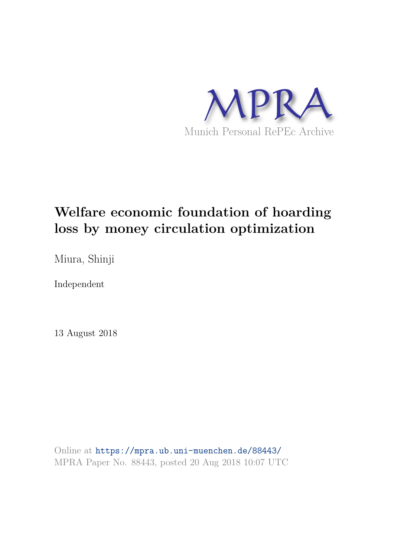

# **Welfare economic foundation of hoarding loss by money circulation optimization**

Miura, Shinji

Independent

13 August 2018

Online at https://mpra.ub.uni-muenchen.de/88443/ MPRA Paper No. 88443, posted 20 Aug 2018 10:07 UTC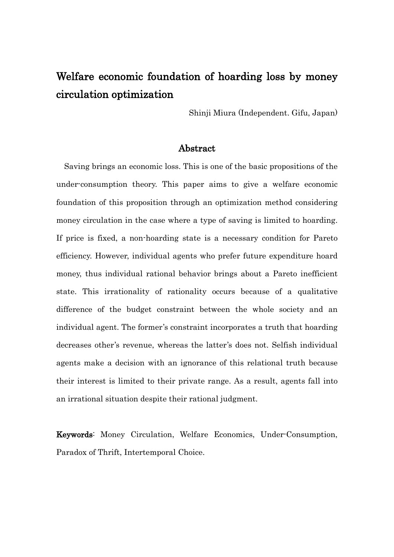## Welfare economic foundation of hoarding loss by money circulation optimization

Shinji Miura (Independent. Gifu, Japan)

#### Abstract

Saving brings an economic loss. This is one of the basic propositions of the under-consumption theory. This paper aims to give a welfare economic foundation of this proposition through an optimization method considering money circulation in the case where a type of saving is limited to hoarding. If price is fixed, a non-hoarding state is a necessary condition for Pareto efficiency. However, individual agents who prefer future expenditure hoard money, thus individual rational behavior brings about a Pareto inefficient state. This irrationality of rationality occurs because of a qualitative difference of the budget constraint between the whole society and an individual agent. The former's constraint incorporates a truth that hoarding decreases other's revenue, whereas the latter's does not. Selfish individual agents make a decision with an ignorance of this relational truth because their interest is limited to their private range. As a result, agents fall into an irrational situation despite their rational judgment.

Keywords: Money Circulation, Welfare Economics, Under-Consumption, Paradox of Thrift, Intertemporal Choice.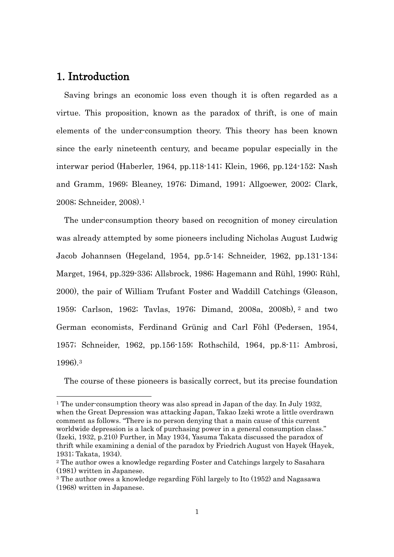### 1. Introduction

-

Saving brings an economic loss even though it is often regarded as a virtue. This proposition, known as the paradox of thrift, is one of main elements of the under-consumption theory. This theory has been known since the early nineteenth century, and became popular especially in the interwar period (Haberler, 1964, pp.118-141; Klein, 1966, pp.124-152; Nash and Gramm, 1969; Bleaney, 1976; Dimand, 1991; Allgoewer, 2002; Clark, 2008; Schneider, 2008). [1](#page-2-0)

The under-consumption theory based on recognition of money circulation was already attempted by some pioneers including Nicholas August Ludwig Jacob Johannsen (Hegeland, 1954, pp.5-14; Schneider, 1962, pp.131-134; Marget, 1964, pp.329-336; Allsbrock, 1986; Hagemann and Rühl, 1990; Rühl, 2000), the pair of William Trufant Foster and Waddill Catchings (Gleason, 1959; Carlson, 1962; Tavlas, 1976; Dimand, 2008a, 2008b), [2](#page-2-1) and two German economists, Ferdinand Grünig and Carl Föhl (Pedersen, 1954, 1957; Schneider, 1962, pp.156-159; Rothschild, 1964, pp.8-11; Ambrosi, 1996). [3](#page-2-2)

The course of these pioneers is basically correct, but its precise foundation

<span id="page-2-0"></span><sup>&</sup>lt;sup>1</sup> The under-consumption theory was also spread in Japan of the day. In July 1932, when the Great Depression was attacking Japan, Takao Izeki wrote a little overdrawn comment as follows. "There is no person denying that a main cause of this current worldwide depression is a lack of purchasing power in a general consumption class." (Izeki, 1932, p.210) Further, in May 1934, Yasuma Takata discussed the paradox of thrift while examining a denial of the paradox by Friedrich August von Hayek (Hayek, 1931; Takata, 1934).

<span id="page-2-1"></span><sup>2</sup> The author owes a knowledge regarding Foster and Catchings largely to Sasahara (1981) written in Japanese.

<span id="page-2-2"></span><sup>3</sup> The author owes a knowledge regarding Föhl largely to Ito (1952) and Nagasawa (1968) written in Japanese.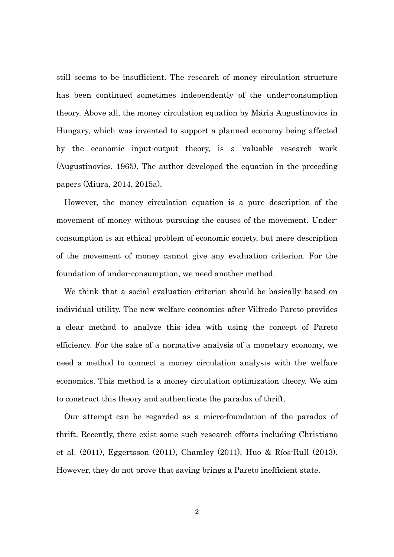still seems to be insufficient. The research of money circulation structure has been continued sometimes independently of the under-consumption theory. Above all, the money circulation equation by Mária Augustinovics in Hungary, which was invented to support a planned economy being affected by the economic input-output theory, is a valuable research work (Augustinovics, 1965). The author developed the equation in the preceding papers (Miura, 2014, 2015a).

However, the money circulation equation is a pure description of the movement of money without pursuing the causes of the movement. Underconsumption is an ethical problem of economic society, but mere description of the movement of money cannot give any evaluation criterion. For the foundation of under-consumption, we need another method.

We think that a social evaluation criterion should be basically based on individual utility. The new welfare economics after Vilfredo Pareto provides a clear method to analyze this idea with using the concept of Pareto efficiency. For the sake of a normative analysis of a monetary economy, we need a method to connect a money circulation analysis with the welfare economics. This method is a money circulation optimization theory. We aim to construct this theory and authenticate the paradox of thrift.

Our attempt can be regarded as a micro-foundation of the paradox of thrift. Recently, there exist some such research efforts including Christiano et al. (2011), Eggertsson (2011), Chamley (2011), Huo & Ríos-Rull (2013). However, they do not prove that saving brings a Pareto inefficient state.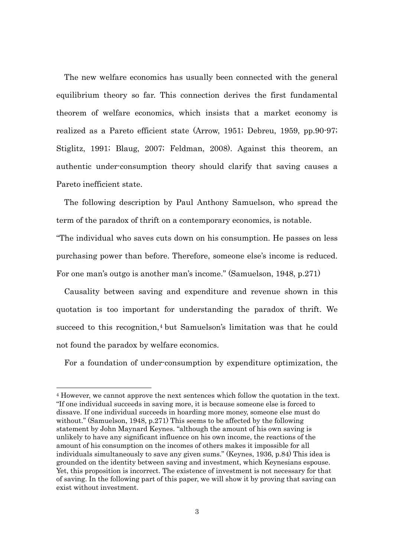The new welfare economics has usually been connected with the general equilibrium theory so far. This connection derives the first fundamental theorem of welfare economics, which insists that a market economy is realized as a Pareto efficient state (Arrow, 1951; Debreu, 1959, pp.90-97; Stiglitz, 1991; Blaug, 2007; Feldman, 2008). Against this theorem, an authentic under-consumption theory should clarify that saving causes a Pareto inefficient state.

The following description by Paul Anthony Samuelson, who spread the term of the paradox of thrift on a contemporary economics, is notable.

"The individual who saves cuts down on his consumption. He passes on less purchasing power than before. Therefore, someone else's income is reduced. For one man's outgo is another man's income." (Samuelson, 1948, p.271)

Causality between saving and expenditure and revenue shown in this quotation is too important for understanding the paradox of thrift. We succeed to this recognition,<sup>[4](#page-4-0)</sup> but Samuelson's limitation was that he could not found the paradox by welfare economics.

For a foundation of under-consumption by expenditure optimization, the

1

<span id="page-4-0"></span><sup>4</sup> However, we cannot approve the next sentences which follow the quotation in the text. "If one individual succeeds in saving more, it is because someone else is forced to dissave. If one individual succeeds in hoarding more money, someone else must do without." (Samuelson, 1948, p.271) This seems to be affected by the following statement by John Maynard Keynes. "although the amount of his own saving is unlikely to have any significant influence on his own income, the reactions of the amount of his consumption on the incomes of others makes it impossible for all individuals simultaneously to save any given sums." (Keynes, 1936, p.84) This idea is grounded on the identity between saving and investment, which Keynesians espouse. Yet, this proposition is incorrect. The existence of investment is not necessary for that of saving. In the following part of this paper, we will show it by proving that saving can exist without investment.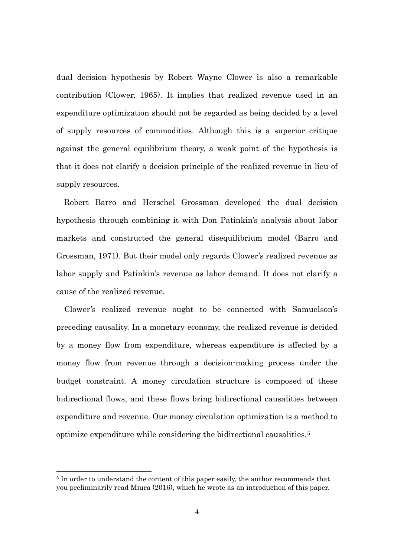dual decision hypothesis by Robert Wayne Clower is also a remarkable contribution (Clower, 1965). It implies that realized revenue used in an expenditure optimization should not be regarded as being decided by a level of supply resources of commodities. Although this is a superior critique against the general equilibrium theory, a weak point of the hypothesis is that it does not clarify a decision principle of the realized revenue in lieu of supply resources.

Robert Barro and Herschel Grossman developed the dual decision hypothesis through combining it with Don Patinkin's analysis about labor markets and constructed the general disequilibrium model (Barro and Grossman, 1971). But their model only regards Clower's realized revenue as labor supply and Patinkin's revenue as labor demand. It does not clarify a cause of the realized revenue.

Clower's realized revenue ought to be connected with Samuelson's preceding causality. In a monetary economy, the realized revenue is decided by a money flow from expenditure, whereas expenditure is affected by a money flow from revenue through a decision-making process under the budget constraint. A money circulation structure is composed of these bidirectional flows, and these flows bring bidirectional causalities between expenditure and revenue. Our money circulation optimization is a method to optimize expenditure while considering the bidirectional causalities.<sup>[5](#page-5-0)</sup>

-

<span id="page-5-0"></span><sup>5</sup> In order to understand the content of this paper easily, the author recommends that you preliminarily read Miura (2016), which he wrote as an introduction of this paper.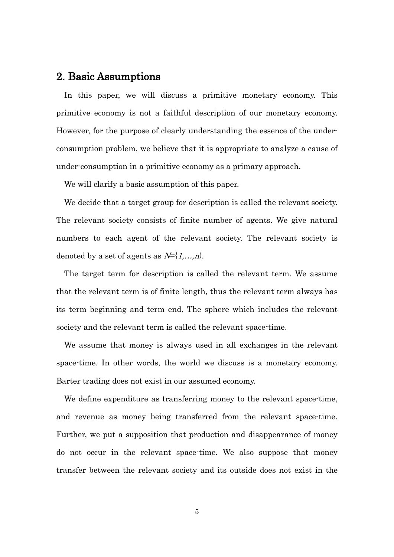#### 2. Basic Assumptions

In this paper, we will discuss a primitive monetary economy. This primitive economy is not a faithful description of our monetary economy. However, for the purpose of clearly understanding the essence of the underconsumption problem, we believe that it is appropriate to analyze a cause of under-consumption in a primitive economy as a primary approach.

We will clarify a basic assumption of this paper.

We decide that a target group for description is called the relevant society. The relevant society consists of finite number of agents. We give natural numbers to each agent of the relevant society. The relevant society is denoted by a set of agents as  $N = \{1, \ldots, n\}$ .

The target term for description is called the relevant term. We assume that the relevant term is of finite length, thus the relevant term always has its term beginning and term end. The sphere which includes the relevant society and the relevant term is called the relevant space-time.

We assume that money is always used in all exchanges in the relevant space-time. In other words, the world we discuss is a monetary economy. Barter trading does not exist in our assumed economy.

We define expenditure as transferring money to the relevant space-time, and revenue as money being transferred from the relevant space-time. Further, we put a supposition that production and disappearance of money do not occur in the relevant space-time. We also suppose that money transfer between the relevant society and its outside does not exist in the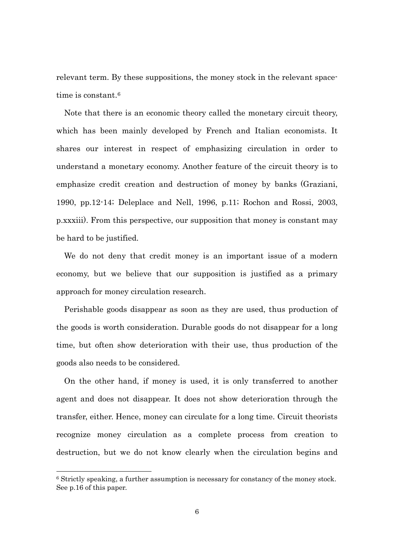relevant term. By these suppositions, the money stock in the relevant space-time is constant.<sup>[6](#page-7-0)</sup>

Note that there is an economic theory called the monetary circuit theory, which has been mainly developed by French and Italian economists. It shares our interest in respect of emphasizing circulation in order to understand a monetary economy. Another feature of the circuit theory is to emphasize credit creation and destruction of money by banks (Graziani, 1990, pp.12-14; Deleplace and Nell, 1996, p.11; Rochon and Rossi, 2003, p.xxxiii). From this perspective, our supposition that money is constant may be hard to be justified.

We do not deny that credit money is an important issue of a modern economy, but we believe that our supposition is justified as a primary approach for money circulation research.

Perishable goods disappear as soon as they are used, thus production of the goods is worth consideration. Durable goods do not disappear for a long time, but often show deterioration with their use, thus production of the goods also needs to be considered.

On the other hand, if money is used, it is only transferred to another agent and does not disappear. It does not show deterioration through the transfer, either. Hence, money can circulate for a long time. Circuit theorists recognize money circulation as a complete process from creation to destruction, but we do not know clearly when the circulation begins and

-

<span id="page-7-0"></span><sup>6</sup> Strictly speaking, a further assumption is necessary for constancy of the money stock. See p.16 of this paper.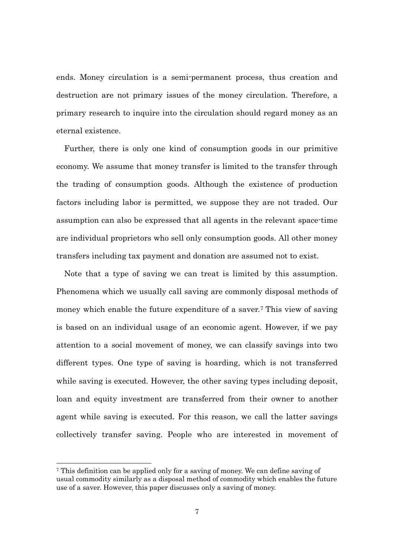ends. Money circulation is a semi-permanent process, thus creation and destruction are not primary issues of the money circulation. Therefore, a primary research to inquire into the circulation should regard money as an eternal existence.

Further, there is only one kind of consumption goods in our primitive economy. We assume that money transfer is limited to the transfer through the trading of consumption goods. Although the existence of production factors including labor is permitted, we suppose they are not traded. Our assumption can also be expressed that all agents in the relevant space-time are individual proprietors who sell only consumption goods. All other money transfers including tax payment and donation are assumed not to exist.

Note that a type of saving we can treat is limited by this assumption. Phenomena which we usually call saving are commonly disposal methods of money which enable the future expenditure of a saver.[7](#page-8-0) This view of saving is based on an individual usage of an economic agent. However, if we pay attention to a social movement of money, we can classify savings into two different types. One type of saving is hoarding, which is not transferred while saving is executed. However, the other saving types including deposit, loan and equity investment are transferred from their owner to another agent while saving is executed. For this reason, we call the latter savings collectively transfer saving. People who are interested in movement of

1

<span id="page-8-0"></span><sup>7</sup> This definition can be applied only for a saving of money. We can define saving of usual commodity similarly as a disposal method of commodity which enables the future use of a saver. However, this paper discusses only a saving of money.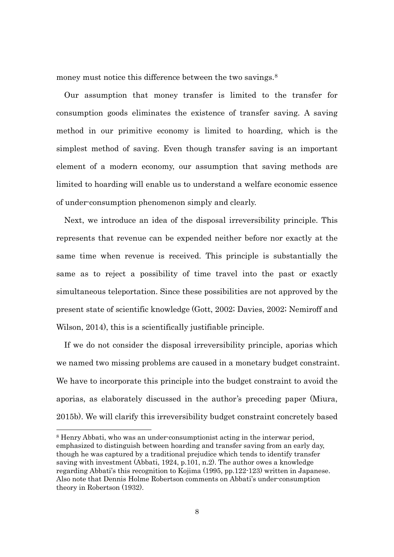money must notice this difference between the two savings.<sup>[8](#page-9-0)</sup>

Our assumption that money transfer is limited to the transfer for consumption goods eliminates the existence of transfer saving. A saving method in our primitive economy is limited to hoarding, which is the simplest method of saving. Even though transfer saving is an important element of a modern economy, our assumption that saving methods are limited to hoarding will enable us to understand a welfare economic essence of under-consumption phenomenon simply and clearly.

Next, we introduce an idea of the disposal irreversibility principle. This represents that revenue can be expended neither before nor exactly at the same time when revenue is received. This principle is substantially the same as to reject a possibility of time travel into the past or exactly simultaneous teleportation. Since these possibilities are not approved by the present state of scientific knowledge (Gott, 2002; Davies, 2002; Nemiroff and Wilson, 2014), this is a scientifically justifiable principle.

If we do not consider the disposal irreversibility principle, aporias which we named two missing problems are caused in a monetary budget constraint. We have to incorporate this principle into the budget constraint to avoid the aporias, as elaborately discussed in the author's preceding paper (Miura, 2015b). We will clarify this irreversibility budget constraint concretely based

-

<span id="page-9-0"></span><sup>8</sup> Henry Abbati, who was an under-consumptionist acting in the interwar period, emphasized to distinguish between hoarding and transfer saving from an early day, though he was captured by a traditional prejudice which tends to identify transfer saving with investment (Abbati, 1924, p.101, n.2). The author owes a knowledge regarding Abbati's this recognition to Kojima (1995, pp.122-123) written in Japanese. Also note that Dennis Holme Robertson comments on Abbati's under-consumption theory in Robertson (1932).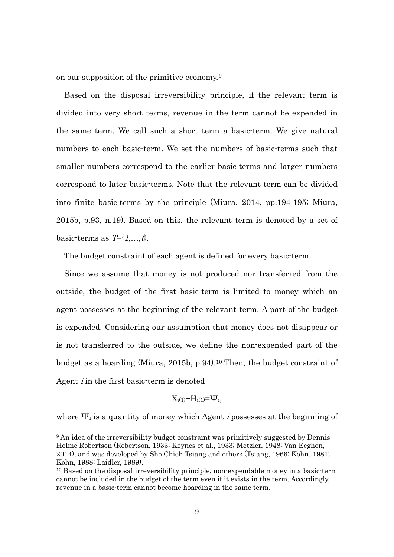on our supposition of the primitive economy.[9](#page-10-0)

Based on the disposal irreversibility principle, if the relevant term is divided into very short terms, revenue in the term cannot be expended in the same term. We call such a short term a basic-term. We give natural numbers to each basic-term. We set the numbers of basic-terms such that smaller numbers correspond to the earlier basic-terms and larger numbers correspond to later basic-terms. Note that the relevant term can be divided into finite basic-terms by the principle (Miura, 2014, pp.194-195; Miura, 2015b, p.93, n.19). Based on this, the relevant term is denoted by a set of basic-terms as  $T=\{1,\ldots,t\}$ .

The budget constraint of each agent is defined for every basic-term.

Since we assume that money is not produced nor transferred from the outside, the budget of the first basic-term is limited to money which an agent possesses at the beginning of the relevant term. A part of the budget is expended. Considering our assumption that money does not disappear or is not transferred to the outside, we define the non-expended part of the budget as a hoarding (Miura, 2015b, p.94). [10](#page-10-1) Then, the budget constraint of Agent  $i$  in the first basic-term is denoted

$$
X_{i(1)} + H_{i(1)} = \Psi_i,
$$

where  $\Psi_i$  is a quantity of money which Agent *i* possesses at the beginning of

-

<span id="page-10-0"></span><sup>9</sup> An idea of the irreversibility budget constraint was primitively suggested by Dennis Holme Robertson (Robertson, 1933; Keynes et al., 1933; Metzler, 1948; Van Eeghen, 2014), and was developed by Sho Chieh Tsiang and others (Tsiang, 1966; Kohn, 1981; Kohn, 1988; Laidler, 1989).

<span id="page-10-1"></span><sup>&</sup>lt;sup>10</sup> Based on the disposal irreversibility principle, non-expendable money in a basic-term cannot be included in the budget of the term even if it exists in the term. Accordingly, revenue in a basic-term cannot become hoarding in the same term.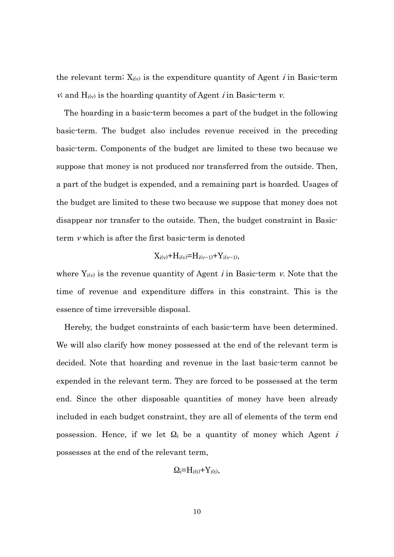the relevant term;  $X_{i(v)}$  is the expenditure quantity of Agent *i* in Basic-term  $\dot{v}$ ; and H<sub>i(v)</sub> is the hoarding quantity of Agent *i* in Basic-term  $\dot{v}$ .

The hoarding in a basic-term becomes a part of the budget in the following basic-term. The budget also includes revenue received in the preceding basic-term. Components of the budget are limited to these two because we suppose that money is not produced nor transferred from the outside. Then, a part of the budget is expended, and a remaining part is hoarded. Usages of the budget are limited to these two because we suppose that money does not disappear nor transfer to the outside. Then, the budget constraint in Basicterm <sup>v</sup> which is after the first basic-term is denoted

$$
X_{i(v)}+H_{i(v)}=H_{i(v-1)}+Y_{i(v-1)},\\
$$

where  $Y_{i(v)}$  is the revenue quantity of Agent *i* in Basic-term *v*. Note that the time of revenue and expenditure differs in this constraint. This is the essence of time irreversible disposal.

Hereby, the budget constraints of each basic-term have been determined. We will also clarify how money possessed at the end of the relevant term is decided. Note that hoarding and revenue in the last basic-term cannot be expended in the relevant term. They are forced to be possessed at the term end. Since the other disposable quantities of money have been already included in each budget constraint, they are all of elements of the term end possession. Hence, if we let  $\Omega_i$  be a quantity of money which Agent *i* possesses at the end of the relevant term,

$$
\Omega_i = H_{i(t)} + Y_{i(t)},
$$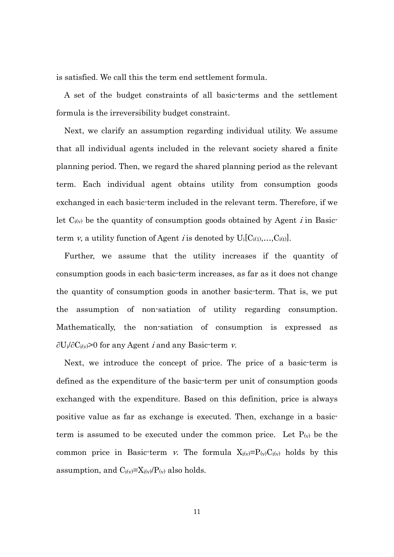is satisfied. We call this the term end settlement formula.

A set of the budget constraints of all basic-terms and the settlement formula is the irreversibility budget constraint.

Next, we clarify an assumption regarding individual utility. We assume that all individual agents included in the relevant society shared a finite planning period. Then, we regard the shared planning period as the relevant term. Each individual agent obtains utility from consumption goods exchanged in each basic-term included in the relevant term. Therefore, if we let  $C_{i(v)}$  be the quantity of consumption goods obtained by Agent *i* in Basicterm v, a utility function of Agent *i* is denoted by  $U_i[C_{i(1)},...,C_{i(t)}]$ .

Further, we assume that the utility increases if the quantity of consumption goods in each basic-term increases, as far as it does not change the quantity of consumption goods in another basic-term. That is, we put the assumption of non-satiation of utility regarding consumption. Mathematically, the non-satiation of consumption is expressed as  $\partial U_i/\partial C_i(y) > 0$  for any Agent *i* and any Basic-term *v*.

Next, we introduce the concept of price. The price of a basic-term is defined as the expenditure of the basic-term per unit of consumption goods exchanged with the expenditure. Based on this definition, price is always positive value as far as exchange is executed. Then, exchange in a basicterm is assumed to be executed under the common price. Let  $P_{(v)}$  be the common price in Basic-term v. The formula  $X_i(y) = P(y)C_i(y)$  holds by this assumption, and  $C_{i(v)}=X_{i(v)}/P(v)$  also holds.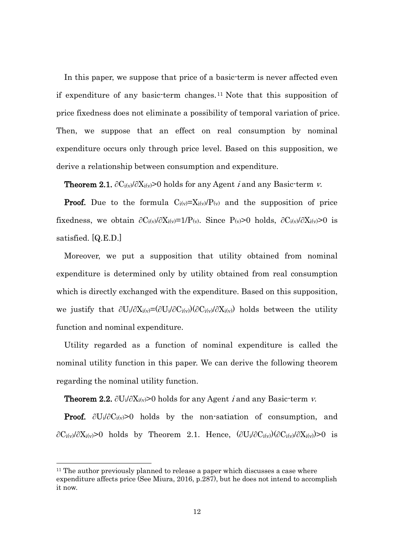In this paper, we suppose that price of a basic-term is never affected even if expenditure of any basic-term changes.[11](#page-13-0) Note that this supposition of price fixedness does not eliminate a possibility of temporal variation of price. Then, we suppose that an effect on real consumption by nominal expenditure occurs only through price level. Based on this supposition, we derive a relationship between consumption and expenditure.

**Theorem 2.1.**  $\partial C_i(y)/\partial X_i(y) > 0$  holds for any Agent *i* and any Basic-term *v*.

**Proof.** Due to the formula  $C_{i(v)}=X_{i(v)}/P(v)$  and the supposition of price fixedness, we obtain  $\partial C_i(y)/\partial X_i(y)=1/P(y)$ . Since P(y)>0 holds,  $\partial C_i(y)/\partial X_i(y)>0$  is satisfied. [Q.E.D.]

Moreover, we put a supposition that utility obtained from nominal expenditure is determined only by utility obtained from real consumption which is directly exchanged with the expenditure. Based on this supposition, we justify that  $\partial U_i/\partial X_i(y) = (\partial U_i/\partial C_i(y))(\partial C_i(y)/\partial X_i(y))$  holds between the utility function and nominal expenditure.

Utility regarded as a function of nominal expenditure is called the nominal utility function in this paper. We can derive the following theorem regarding the nominal utility function.

**Theorem 2.2.** ∂U<sub>i</sub>/∂X<sub>i(v</sub> $>0$  holds for any Agent *i* and any Basic-term *v*.

**Proof.**  $\partial U_i/\partial C_i(v) > 0$  holds by the non-satiation of consumption, and  $\partial C_i(y)/\partial X_i(y) > 0$  holds by Theorem 2.1. Hence,  $(\partial U_i/\partial C_i(y)/\partial X_i(y)) > 0$  is

1

<span id="page-13-0"></span><sup>&</sup>lt;sup>11</sup> The author previously planned to release a paper which discusses a case where expenditure affects price (See Miura, 2016, p.287), but he does not intend to accomplish it now.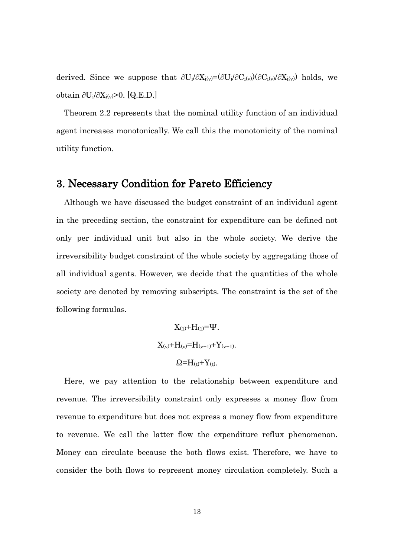derived. Since we suppose that  $\partial U_i/\partial X_i(y) = (\partial U_i/\partial C_i(y))(\partial C_i(y)/\partial X_i(y))$  holds, we obtain  $\partial U_i/\partial X_i(v) > 0$ . [Q.E.D.]

Theorem 2.2 represents that the nominal utility function of an individual agent increases monotonically. We call this the monotonicity of the nominal utility function.

### 3. Necessary Condition for Pareto Efficiency

Although we have discussed the budget constraint of an individual agent in the preceding section, the constraint for expenditure can be defined not only per individual unit but also in the whole society. We derive the irreversibility budget constraint of the whole society by aggregating those of all individual agents. However, we decide that the quantities of the whole society are denoted by removing subscripts. The constraint is the set of the following formulas.

> $X_{(1)}+H_{(1)}= \Psi$ .  $X_{(v)}+H_{(v)}=H_{(v-1)}+Y_{(v-1)}$ .  $Q=H(t)+Y(t)$ .

Here, we pay attention to the relationship between expenditure and revenue. The irreversibility constraint only expresses a money flow from revenue to expenditure but does not express a money flow from expenditure to revenue. We call the latter flow the expenditure reflux phenomenon. Money can circulate because the both flows exist. Therefore, we have to consider the both flows to represent money circulation completely. Such a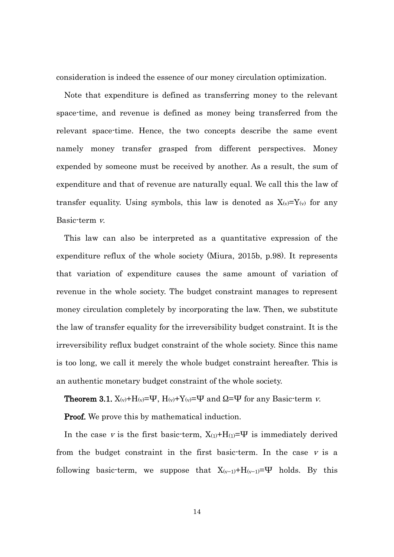consideration is indeed the essence of our money circulation optimization.

Note that expenditure is defined as transferring money to the relevant space-time, and revenue is defined as money being transferred from the relevant space-time. Hence, the two concepts describe the same event namely money transfer grasped from different perspectives. Money expended by someone must be received by another. As a result, the sum of expenditure and that of revenue are naturally equal. We call this the law of transfer equality. Using symbols, this law is denoted as  $X_{(v)}=Y_{(v)}$  for any Basic-term v.

This law can also be interpreted as a quantitative expression of the expenditure reflux of the whole society (Miura, 2015b, p.98). It represents that variation of expenditure causes the same amount of variation of revenue in the whole society. The budget constraint manages to represent money circulation completely by incorporating the law. Then, we substitute the law of transfer equality for the irreversibility budget constraint. It is the irreversibility reflux budget constraint of the whole society. Since this name is too long, we call it merely the whole budget constraint hereafter. This is an authentic monetary budget constraint of the whole society.

**Theorem 3.1.**  $X_{(v)}+H_{(v)}= \Psi$ ,  $H_{(v)}+Y_{(v)}= \Psi$  and  $\Omega = \Psi$  for any Basic-term v.

**Proof.** We prove this by mathematical induction.

In the case v is the first basic-term,  $X_{(1)}+H_{(1)}= \Psi$  is immediately derived from the budget constraint in the first basic-term. In the case  $\nu$  is a following basic-term, we suppose that  $X_{(v-1)}+H_{(v-1)}= \Psi$  holds. By this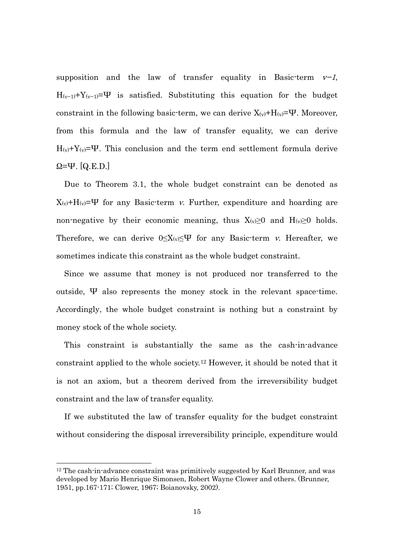supposition and the law of transfer equality in Basic-term  $v-1$ ,  $H_{(v-1)}+Y_{(v-1)}= \Psi$  is satisfied. Substituting this equation for the budget constraint in the following basic-term, we can derive  $X_{(v)}+H_{(v)}= \Psi$ . Moreover, from this formula and the law of transfer equality, we can derive  $H_{(v)}+Y_{(v)}= \Psi$ . This conclusion and the term end settlement formula derive  $\Omega = \Psi$ . [Q.E.D.]

Due to Theorem 3.1, the whole budget constraint can be denoted as  $X_{(v)}+H_{(v)}= \Psi$  for any Basic-term v. Further, expenditure and hoarding are non-negative by their economic meaning, thus  $X_{(v)} \geq 0$  and  $H_{(v)} \geq 0$  holds. Therefore, we can derive  $0 \leq X_{(v)} \leq \Psi$  for any Basic-term v. Hereafter, we sometimes indicate this constraint as the whole budget constraint.

Since we assume that money is not produced nor transferred to the outside, Ψ also represents the money stock in the relevant space-time. Accordingly, the whole budget constraint is nothing but a constraint by money stock of the whole society.

This constraint is substantially the same as the cash-in-advance constraint applied to the whole society.[12](#page-16-0) However, it should be noted that it is not an axiom, but a theorem derived from the irreversibility budget constraint and the law of transfer equality.

If we substituted the law of transfer equality for the budget constraint without considering the disposal irreversibility principle, expenditure would

1

<span id="page-16-0"></span><sup>&</sup>lt;sup>12</sup> The cash-in-advance constraint was primitively suggested by Karl Brunner, and was developed by Mario Henrique Simonsen, Robert Wayne Clower and others. (Brunner, 1951, pp.167-171; Clower, 1967; Boianovsky, 2002).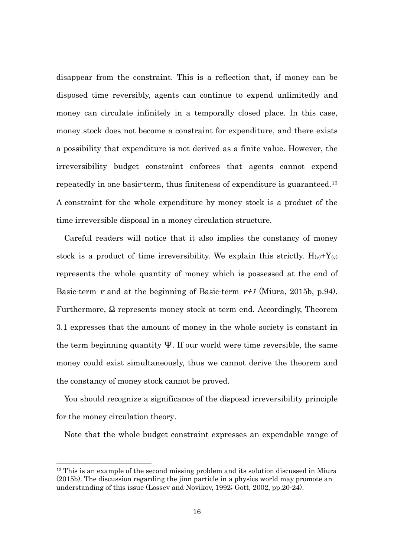disappear from the constraint. This is a reflection that, if money can be disposed time reversibly, agents can continue to expend unlimitedly and money can circulate infinitely in a temporally closed place. In this case, money stock does not become a constraint for expenditure, and there exists a possibility that expenditure is not derived as a finite value. However, the irreversibility budget constraint enforces that agents cannot expend repeatedly in one basic-term, thus finiteness of expenditure is guaranteed.[13](#page-17-0) A constraint for the whole expenditure by money stock is a product of the time irreversible disposal in a money circulation structure.

Careful readers will notice that it also implies the constancy of money stock is a product of time irreversibility. We explain this strictly.  $H_{(v)}+Y_{(v)}$ represents the whole quantity of money which is possessed at the end of Basic-term v and at the beginning of Basic-term  $v+1$  (Miura, 2015b, p.94). Furthermore, Ω represents money stock at term end. Accordingly, Theorem 3.1 expresses that the amount of money in the whole society is constant in the term beginning quantity  $\Psi$ . If our world were time reversible, the same money could exist simultaneously, thus we cannot derive the theorem and the constancy of money stock cannot be proved.

You should recognize a significance of the disposal irreversibility principle for the money circulation theory.

Note that the whole budget constraint expresses an expendable range of

1

<span id="page-17-0"></span><sup>&</sup>lt;sup>13</sup> This is an example of the second missing problem and its solution discussed in Miura (2015b). The discussion regarding the jinn particle in a physics world may promote an understanding of this issue (Lossev and Novikov, 1992; Gott, 2002, pp.20-24).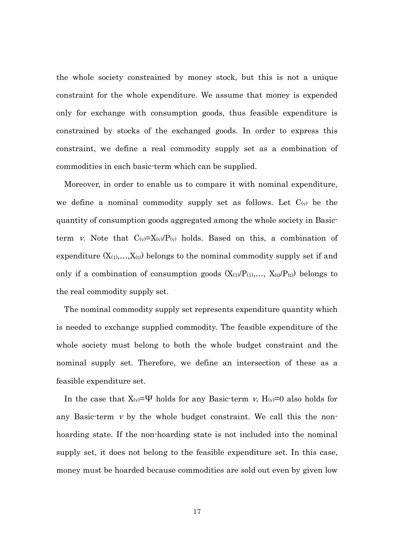the whole society constrained by money stock, but this is not a unique constraint for the whole expenditure. We assume that money is expended only for exchange with consumption goods, thus feasible expenditure is constrained by stocks of the exchanged goods. In order to express this constraint, we define a real commodity supply set as a combination of commodities in each basic-term which can be supplied.

Moreover, in order to enable us to compare it with nominal expenditure, we define a nominal commodity supply set as follows. Let  $C_{(v)}$  be the quantity of consumption goods aggregated among the whole society in Basicterm v. Note that  $C_{(v)}=X_{(v)}/P_{(v)}$  holds. Based on this, a combination of expenditure  $(X_{(1)},...,X_{(t)})$  belongs to the nominal commodity supply set if and only if a combination of consumption goods  $(X_{(1)}/P_{(1)},..., X_{(t)}/P_{(t)})$  belongs to the real commodity supply set.

The nominal commodity supply set represents expenditure quantity which is needed to exchange supplied commodity. The feasible expenditure of the whole society must belong to both the whole budget constraint and the nominal supply set. Therefore, we define an intersection of these as a feasible expenditure set.

In the case that  $X_{(v)}= \Psi$  holds for any Basic-term v,  $H_{(v)}=0$  also holds for any Basic-term  $v$  by the whole budget constraint. We call this the nonhoarding state. If the non-hoarding state is not included into the nominal supply set, it does not belong to the feasible expenditure set. In this case, money must be hoarded because commodities are sold out even by given low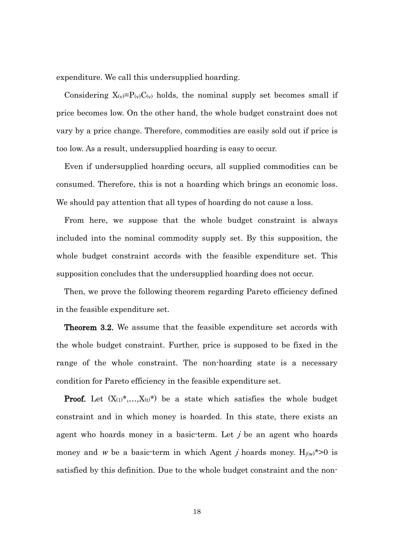expenditure. We call this undersupplied hoarding.

Considering  $X_{(v)}=P_{(v)}C_{(v)}$  holds, the nominal supply set becomes small if price becomes low. On the other hand, the whole budget constraint does not vary by a price change. Therefore, commodities are easily sold out if price is too low. As a result, undersupplied hoarding is easy to occur.

Even if undersupplied hoarding occurs, all supplied commodities can be consumed. Therefore, this is not a hoarding which brings an economic loss. We should pay attention that all types of hoarding do not cause a loss.

From here, we suppose that the whole budget constraint is always included into the nominal commodity supply set. By this supposition, the whole budget constraint accords with the feasible expenditure set. This supposition concludes that the undersupplied hoarding does not occur.

Then, we prove the following theorem regarding Pareto efficiency defined in the feasible expenditure set.

Theorem 3.2. We assume that the feasible expenditure set accords with the whole budget constraint. Further, price is supposed to be fixed in the range of the whole constraint. The non-hoarding state is a necessary condition for Pareto efficiency in the feasible expenditure set.

**Proof.** Let  $(X_{(1)}^*,...,X_{(t)}^*)$  be a state which satisfies the whole budget constraint and in which money is hoarded. In this state, there exists an agent who hoards money in a basic-term. Let  $j$  be an agent who hoards money and w be a basic-term in which Agent *j* hoards money.  $H_{j(w)}$ \*>0 is satisfied by this definition. Due to the whole budget constraint and the non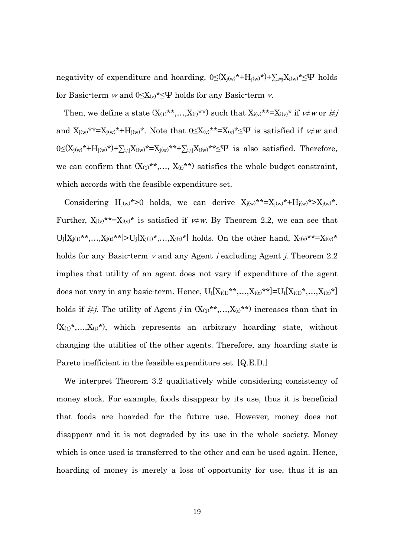negativity of expenditure and hoarding,  $0 \leq (X_{j(w)}^* + H_{j(w)}^*) + \sum_{i \neq j} X_{i(w)}^* \leq \Psi$  holds for Basic-term w and  $0 \leq X_{(v)}^* \leq \Psi$  holds for any Basic-term v.

Then, we define a state  $(X_{(1)}^{**},...,X_{(t)}^{**})$  such that  $X_{i(v)}^{**}=X_{i(v)}^{*}$  if  $v \neq w$  or  $i \neq j$ and  $X_{j(w)}$ \*\*= $X_{j(w)}$ \*+ $H_{j(w)}$ \*. Note that  $0 \le X_{(v)}$ \*\*= $X_{(v)}$ \* $\le \Psi$  is satisfied if  $v \ne w$  and  $0{\leq}(X_{j(w)}*+H_{j(w)}*)+ \textstyle\sum_{i\neq j}X_{i(w)}*={X_{j(w)}}**+ \textstyle\sum_{i\neq j}X_{i(w)}**\leq\Psi~~\text{is~also~satisfied. Therefore,}$ we can confirm that  $(X_{(1)}^{**},..., X_{(t)}^{**})$  satisfies the whole budget constraint, which accords with the feasible expenditure set.

Considering  $H_{j(w)}$ \*>0 holds, we can derive  $X_{j(w)}$ \*\*= $X_{j(w)}$ \*+ $H_{j(w)}$ \*> $X_{j(w)}$ \*. Further,  $X_{j(v)}$ <sup>\*\*</sup>= $X_{j(v)}$ <sup>\*</sup> is satisfied if  $v \neq w$ . By Theorem 2.2, we can see that  $\label{eq:Uj} U_j[X_{j(1)} * * , \dots, X_{j(t)} * *] \!>\! U_j[X_{j(1)} * , \dots, X_{j(t)} *] \text{ holds. On the other hand, } X_{i(v)} * * = X_{i(v)} *$ holds for any Basic-term v and any Agent *i* excluding Agent *j*. Theorem 2.2 implies that utility of an agent does not vary if expenditure of the agent does not vary in any basic-term. Hence,  $U_i[X_{i(1)}\ast\ast,...,X_{i(t)}\ast\ast] = U_i[X_{i(1)}\ast,...,X_{i(t)}\ast]$ holds if  $\dot{\#}j$ . The utility of Agent j in  $(X_{(1)}^{**},...,X_{(t)}^{**})$  increases than that in  $(X_{(1)},*,...,X_{(t)},*)$ , which represents an arbitrary hoarding state, without changing the utilities of the other agents. Therefore, any hoarding state is Pareto inefficient in the feasible expenditure set. [Q.E.D.]

We interpret Theorem 3.2 qualitatively while considering consistency of money stock. For example, foods disappear by its use, thus it is beneficial that foods are hoarded for the future use. However, money does not disappear and it is not degraded by its use in the whole society. Money which is once used is transferred to the other and can be used again. Hence, hoarding of money is merely a loss of opportunity for use, thus it is an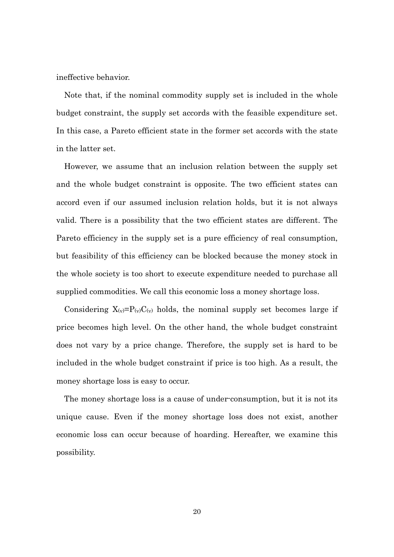ineffective behavior.

Note that, if the nominal commodity supply set is included in the whole budget constraint, the supply set accords with the feasible expenditure set. In this case, a Pareto efficient state in the former set accords with the state in the latter set.

However, we assume that an inclusion relation between the supply set and the whole budget constraint is opposite. The two efficient states can accord even if our assumed inclusion relation holds, but it is not always valid. There is a possibility that the two efficient states are different. The Pareto efficiency in the supply set is a pure efficiency of real consumption, but feasibility of this efficiency can be blocked because the money stock in the whole society is too short to execute expenditure needed to purchase all supplied commodities. We call this economic loss a money shortage loss.

Considering  $X_{(v)}=P_{(v)}C_{(v)}$  holds, the nominal supply set becomes large if price becomes high level. On the other hand, the whole budget constraint does not vary by a price change. Therefore, the supply set is hard to be included in the whole budget constraint if price is too high. As a result, the money shortage loss is easy to occur.

The money shortage loss is a cause of under-consumption, but it is not its unique cause. Even if the money shortage loss does not exist, another economic loss can occur because of hoarding. Hereafter, we examine this possibility.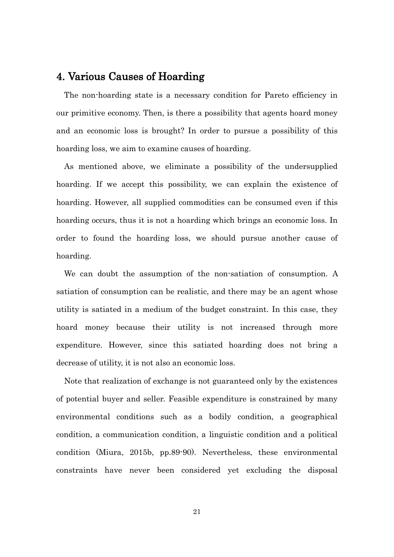#### 4. Various Causes of Hoarding

The non-hoarding state is a necessary condition for Pareto efficiency in our primitive economy. Then, is there a possibility that agents hoard money and an economic loss is brought? In order to pursue a possibility of this hoarding loss, we aim to examine causes of hoarding.

As mentioned above, we eliminate a possibility of the undersupplied hoarding. If we accept this possibility, we can explain the existence of hoarding. However, all supplied commodities can be consumed even if this hoarding occurs, thus it is not a hoarding which brings an economic loss. In order to found the hoarding loss, we should pursue another cause of hoarding.

We can doubt the assumption of the non-satiation of consumption. A satiation of consumption can be realistic, and there may be an agent whose utility is satiated in a medium of the budget constraint. In this case, they hoard money because their utility is not increased through more expenditure. However, since this satiated hoarding does not bring a decrease of utility, it is not also an economic loss.

Note that realization of exchange is not guaranteed only by the existences of potential buyer and seller. Feasible expenditure is constrained by many environmental conditions such as a bodily condition, a geographical condition, a communication condition, a linguistic condition and a political condition (Miura, 2015b, pp.89-90). Nevertheless, these environmental constraints have never been considered yet excluding the disposal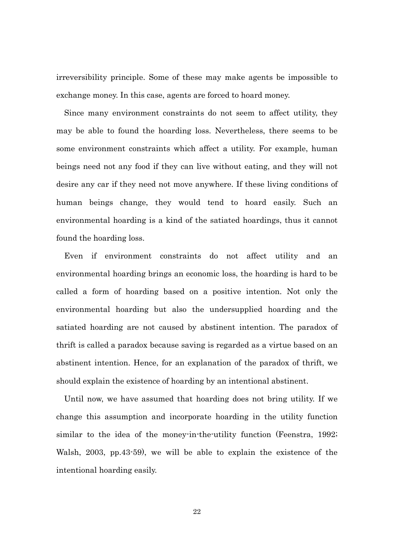irreversibility principle. Some of these may make agents be impossible to exchange money. In this case, agents are forced to hoard money.

Since many environment constraints do not seem to affect utility, they may be able to found the hoarding loss. Nevertheless, there seems to be some environment constraints which affect a utility. For example, human beings need not any food if they can live without eating, and they will not desire any car if they need not move anywhere. If these living conditions of human beings change, they would tend to hoard easily. Such an environmental hoarding is a kind of the satiated hoardings, thus it cannot found the hoarding loss.

Even if environment constraints do not affect utility and an environmental hoarding brings an economic loss, the hoarding is hard to be called a form of hoarding based on a positive intention. Not only the environmental hoarding but also the undersupplied hoarding and the satiated hoarding are not caused by abstinent intention. The paradox of thrift is called a paradox because saving is regarded as a virtue based on an abstinent intention. Hence, for an explanation of the paradox of thrift, we should explain the existence of hoarding by an intentional abstinent.

Until now, we have assumed that hoarding does not bring utility. If we change this assumption and incorporate hoarding in the utility function similar to the idea of the money-in-the-utility function (Feenstra, 1992; Walsh, 2003, pp.43-59), we will be able to explain the existence of the intentional hoarding easily.

22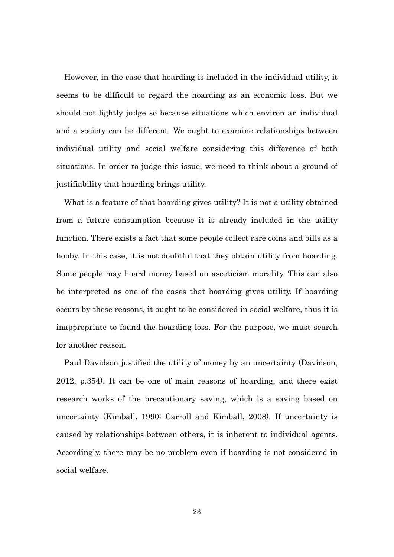However, in the case that hoarding is included in the individual utility, it seems to be difficult to regard the hoarding as an economic loss. But we should not lightly judge so because situations which environ an individual and a society can be different. We ought to examine relationships between individual utility and social welfare considering this difference of both situations. In order to judge this issue, we need to think about a ground of justifiability that hoarding brings utility.

What is a feature of that hoarding gives utility? It is not a utility obtained from a future consumption because it is already included in the utility function. There exists a fact that some people collect rare coins and bills as a hobby. In this case, it is not doubtful that they obtain utility from hoarding. Some people may hoard money based on asceticism morality. This can also be interpreted as one of the cases that hoarding gives utility. If hoarding occurs by these reasons, it ought to be considered in social welfare, thus it is inappropriate to found the hoarding loss. For the purpose, we must search for another reason.

Paul Davidson justified the utility of money by an uncertainty (Davidson, 2012, p.354). It can be one of main reasons of hoarding, and there exist research works of the precautionary saving, which is a saving based on uncertainty (Kimball, 1990; Carroll and Kimball, 2008). If uncertainty is caused by relationships between others, it is inherent to individual agents. Accordingly, there may be no problem even if hoarding is not considered in social welfare.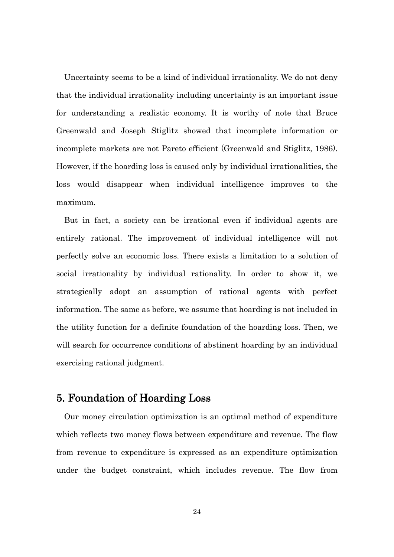Uncertainty seems to be a kind of individual irrationality. We do not deny that the individual irrationality including uncertainty is an important issue for understanding a realistic economy. It is worthy of note that Bruce Greenwald and Joseph Stiglitz showed that incomplete information or incomplete markets are not Pareto efficient (Greenwald and Stiglitz, 1986). However, if the hoarding loss is caused only by individual irrationalities, the loss would disappear when individual intelligence improves to the maximum.

But in fact, a society can be irrational even if individual agents are entirely rational. The improvement of individual intelligence will not perfectly solve an economic loss. There exists a limitation to a solution of social irrationality by individual rationality. In order to show it, we strategically adopt an assumption of rational agents with perfect information. The same as before, we assume that hoarding is not included in the utility function for a definite foundation of the hoarding loss. Then, we will search for occurrence conditions of abstinent hoarding by an individual exercising rational judgment.

### 5. Foundation of Hoarding Loss

Our money circulation optimization is an optimal method of expenditure which reflects two money flows between expenditure and revenue. The flow from revenue to expenditure is expressed as an expenditure optimization under the budget constraint, which includes revenue. The flow from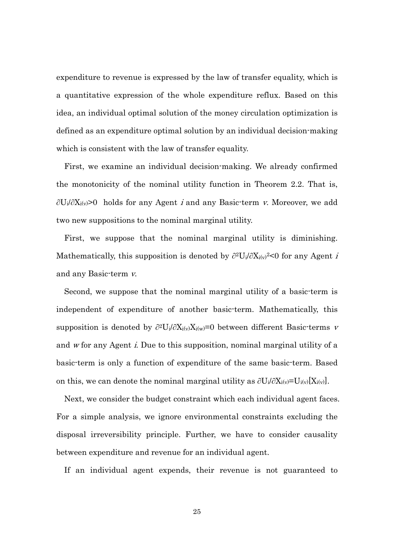expenditure to revenue is expressed by the law of transfer equality, which is a quantitative expression of the whole expenditure reflux. Based on this idea, an individual optimal solution of the money circulation optimization is defined as an expenditure optimal solution by an individual decision-making which is consistent with the law of transfer equality.

First, we examine an individual decision-making. We already confirmed the monotonicity of the nominal utility function in Theorem 2.2. That is, ∂U<sub>i</sub>/∂X<sub>i(v</sub>>0 holds for any Agent *i* and any Basic-term *v*. Moreover, we add two new suppositions to the nominal marginal utility.

First, we suppose that the nominal marginal utility is diminishing. Mathematically, this supposition is denoted by  $\partial^2 U_i / \partial X_i$ <sub>i</sub> $\varphi$ <sup>2</sup><0 for any Agent *i* and any Basic-term v.

Second, we suppose that the nominal marginal utility of a basic-term is independent of expenditure of another basic-term. Mathematically, this supposition is denoted by  $\partial^2 U_i / \partial X_i(w) = 0$  between different Basic-terms v and <sup>w</sup> for any Agent i. Due to this supposition, nominal marginal utility of a basic-term is only a function of expenditure of the same basic-term. Based on this, we can denote the nominal marginal utility as  $\partial U_i/\partial X_{i(v)}=U_{i(v)}[X_{i(v)}]$ .

Next, we consider the budget constraint which each individual agent faces. For a simple analysis, we ignore environmental constraints excluding the disposal irreversibility principle. Further, we have to consider causality between expenditure and revenue for an individual agent.

If an individual agent expends, their revenue is not guaranteed to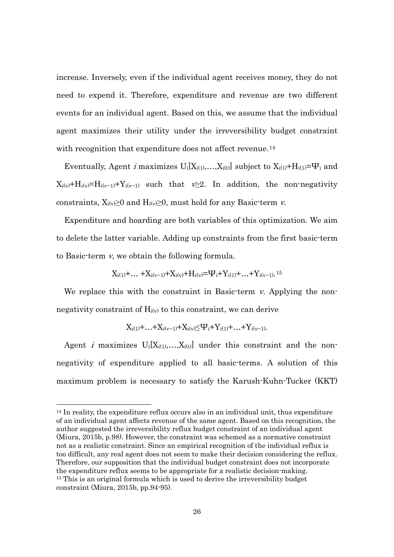increase. Inversely, even if the individual agent receives money, they do not need to expend it. Therefore, expenditure and revenue are two different events for an individual agent. Based on this, we assume that the individual agent maximizes their utility under the irreversibility budget constraint with recognition that expenditure does not affect revenue.<sup>[14](#page-27-0)</sup>

Eventually, Agent *i* maximizes  $U_i[X_{i(1)},...,X_{i(t)}]$  subject to  $X_{i(1)} + H_{i(1)} = \Psi_i$  and  $X_{i(v)}+H_{i(v)}=H_{i(v-1)}+Y_{i(v-1)}$  such that  $v\geq 2$ . In addition, the non-negativity constraints,  $X_i(y) \geq 0$  and  $H_i(y) \geq 0$ , must hold for any Basic-term v.

Expenditure and hoarding are both variables of this optimization. We aim to delete the latter variable. Adding up constraints from the first basic-term to Basic-term v, we obtain the following formula.

$$
X_{i(1)} + \ldots{} + X_{i(v-1)} + X_{i(v)} + H_{i(v)} = \!\! \Psi_i + Y_{i(1)} + \ldots{} + Y_{i(v-1)}.\mathsf{^{15}}
$$

We replace this with the constraint in Basic-term v. Applying the nonnegativity constraint of  $H_{i(v)}$  to this constraint, we can derive

$$
X_{i(1)} + \ldots + X_{i(v-1)} + X_{i(v)} {\leq} \Psi_i + Y_{i(1)} + \ldots + Y_{i(v-1)}.
$$

Agent *i* maximizes  $U_i[X_{i(1)},...,X_{i(t)}]$  under this constraint and the nonnegativity of expenditure applied to all basic-terms. A solution of this maximum problem is necessary to satisfy the Karush-Kuhn-Tucker (KKT)

-

<span id="page-27-1"></span><span id="page-27-0"></span> $14$  In reality, the expenditure reflux occurs also in an individual unit, thus expenditure of an individual agent affects revenue of the same agent. Based on this recognition, the author suggested the irreversibility reflux budget constraint of an individual agent (Miura, 2015b, p.98). However, the constraint was schemed as a normative constraint not as a realistic constraint. Since an empirical recognition of the individual reflux is too difficult, any real agent does not seem to make their decision considering the reflux. Therefore, our supposition that the individual budget constraint does not incorporate the expenditure reflux seems to be appropriate for a realistic decision-making. <sup>15</sup> This is an original formula which is used to derive the irreversibility budget constraint (Miura, 2015b, pp.94-95).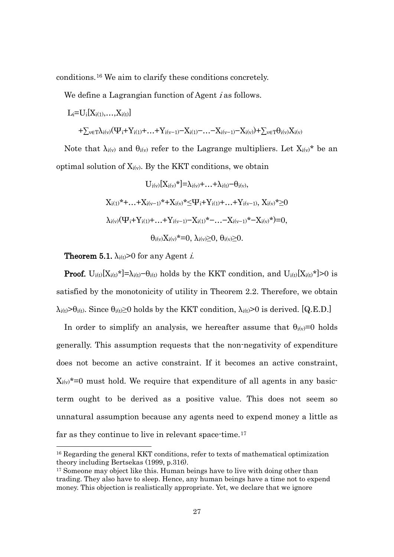conditions.[16](#page-28-0) We aim to clarify these conditions concretely.

We define a Lagrangian function of Agent *i* as follows.

$$
\begin{aligned} L_i & = U_i[X_{i(1)},\dots,X_{i(t)}] \\ & + \sum_{v \in T} \lambda_{i(v)} (\Psi_i + Y_{i(1)} + \ldots + Y_{i(v-1)} - X_{i(1)} - \ldots - X_{i(v-1)} - X_{i(v)}) + \sum_{v \in T} \theta_{i(v)} X_{i(v)} \end{aligned}
$$

Note that  $\lambda_{i(v)}$  and  $\theta_{i(v)}$  refer to the Lagrange multipliers. Let  $X_{i(v)}^*$  be an optimal solution of  $X_{i(v)}$ . By the KKT conditions, we obtain

$$
U_{i(v)}[X_{i(v)}*] = \lambda_{i(v)} + ... + \lambda_{i(t)} - \theta_{i(v)},
$$
  
\n
$$
X_{i(1)}* + ... + X_{i(v-1)}* + X_{i(v)}* \leq \Psi_i + Y_{i(1)} + ... + Y_{i(v-1)}, X_{i(v)}* \geq 0
$$
  
\n
$$
\lambda_{i(v)}(\Psi_i + Y_{i(1)} + ... + Y_{i(v-1)} - X_{i(1)}* - ... - X_{i(v-1)}* - X_{i(v)}*) = 0,
$$
  
\n
$$
\theta_{i(v)}X_{i(v)}* = 0, \lambda_{i(v)} \geq 0, \theta_{i(v)} \geq 0.
$$

**Theorem 5.1.**  $\lambda_i(t) > 0$  for any Agent *i*.

1

**Proof.** U<sub>i(t)</sub>[ $X_{i(t)}$ <sup>\*</sup>]= $\lambda_{i(t)}-\theta_{i(t)}$  holds by the KKT condition, and U<sub>i(t)</sub>[ $X_{i(t)}$ <sup>\*</sup>]>0 is satisfied by the monotonicity of utility in Theorem 2.2. Therefore, we obtain  $\lambda_{i(t)} > \theta_{i(t)}$ . Since  $\theta_{i(t)} \ge 0$  holds by the KKT condition,  $\lambda_{i(t)} > 0$  is derived. [Q.E.D.]

In order to simplify an analysis, we hereafter assume that  $\theta_i(y)=0$  holds generally. This assumption requests that the non-negativity of expenditure does not become an active constraint. If it becomes an active constraint,  $X_{i(v)}^*$ =0 must hold. We require that expenditure of all agents in any basicterm ought to be derived as a positive value. This does not seem so unnatural assumption because any agents need to expend money a little as far as they continue to live in relevant space-time.<sup>[17](#page-28-1)</sup>

<span id="page-28-0"></span><sup>16</sup> Regarding the general KKT conditions, refer to texts of mathematical optimization theory including Bertsekas (1999, p.316).

<span id="page-28-1"></span><sup>&</sup>lt;sup>17</sup> Someone may object like this. Human beings have to live with doing other than trading. They also have to sleep. Hence, any human beings have a time not to expend money. This objection is realistically appropriate. Yet, we declare that we ignore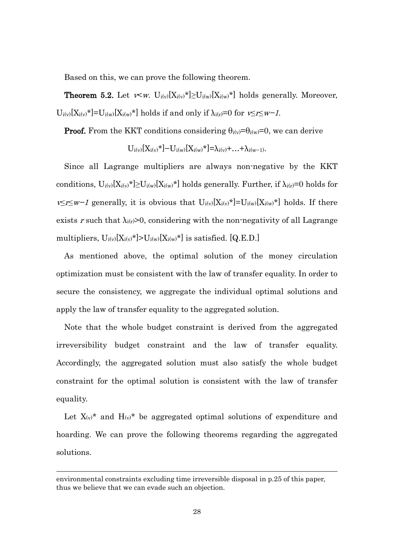Based on this, we can prove the following theorem.

**Theorem 5.2.** Let  $v \lt w$ .  $U_{i(v)}[X_{i(v)}] \geq U_{i(w)}[X_{i(w)}]$  holds generally. Moreover,  $U_{i(v)}[X_{i(v)}^*]=U_{i(w)}[X_{i(w)}^*]$  holds if and only if  $\lambda_{i(v)}=0$  for  $v\leq i\leq w-1$ .

**Proof.** From the KKT conditions considering  $\theta_{i(v)} = \theta_{i(w)} = 0$ , we can derive

$$
U_{i(v)}[X_{i(v)}^*]-U_{i(w)}[X_{i(w)}^*]=\lambda_{i(v)}+...+\lambda_{i(w-1)}.
$$

Since all Lagrange multipliers are always non-negative by the KKT conditions,  $U_{i(v)}[X_{i(v)}] \geq U_{i(w)}[X_{i(w)}]$  holds generally. Further, if  $\lambda_{i(v)}=0$  holds for  $v≤r≤w-1$  generally, it is obvious that  $U_{i(v)}[X_{i(v)}*]=U_{i(w)}[X_{i(w)}*]$  holds. If there exists r such that  $\lambda_{i(r)} > 0$ , considering with the non-negativity of all Lagrange multipliers,  $U_{i(v)}[X_{i(v)}*] > U_{i(w)}[X_{i(w)}*]$  is satisfied. [Q.E.D.]

As mentioned above, the optimal solution of the money circulation optimization must be consistent with the law of transfer equality. In order to secure the consistency, we aggregate the individual optimal solutions and apply the law of transfer equality to the aggregated solution.

Note that the whole budget constraint is derived from the aggregated irreversibility budget constraint and the law of transfer equality. Accordingly, the aggregated solution must also satisfy the whole budget constraint for the optimal solution is consistent with the law of transfer equality.

Let  $X_{(v)}^*$  and  $H_{(v)}^*$  be aggregated optimal solutions of expenditure and hoarding. We can prove the following theorems regarding the aggregated solutions.

-

environmental constraints excluding time irreversible disposal in p.25 of this paper, thus we believe that we can evade such an objection.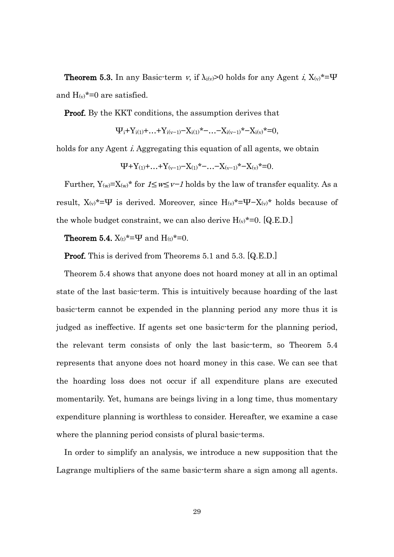**Theorem 5.3.** In any Basic-term v, if  $\lambda_i(y) > 0$  holds for any Agent i,  $X(y) = \Psi$ and  $H_{(v)}^*$ =0 are satisfied.

Proof. By the KKT conditions, the assumption derives that

$$
\Psi_i + Y_{i(1)} + \ldots + Y_{i(v-1)} - X_{i(1)} * - \ldots - X_{i(v-1)} * - X_{i(v)} * = 0,
$$

holds for any Agent *i*. Aggregating this equation of all agents, we obtain

$$
\Psi + Y_{(1)} + \ldots + Y_{(v-1)} - X_{(1)}^* - \ldots - X_{(v-1)}^* - X_{(v)}^* = 0.
$$

Further,  $Y_{(w)}=X_{(w)}$ \* for  $1\leq w\leq v-1$  holds by the law of transfer equality. As a result,  $X_{(v)}^* = \Psi$  is derived. Moreover, since  $H_{(v)}^* = \Psi - X_{(v)}^*$  holds because of the whole budget constraint, we can also derive  $H_{(v)}^* = 0$ . [Q.E.D.]

Theorem 5.4.  $X_{(t)}{}^{\star}{=}\Psi$  and  $H_{(t)}{}^{\star}{=}0.$ 

Proof. This is derived from Theorems 5.1 and 5.3. [Q.E.D.]

Theorem 5.4 shows that anyone does not hoard money at all in an optimal state of the last basic-term. This is intuitively because hoarding of the last basic-term cannot be expended in the planning period any more thus it is judged as ineffective. If agents set one basic-term for the planning period, the relevant term consists of only the last basic-term, so Theorem 5.4 represents that anyone does not hoard money in this case. We can see that the hoarding loss does not occur if all expenditure plans are executed momentarily. Yet, humans are beings living in a long time, thus momentary expenditure planning is worthless to consider. Hereafter, we examine a case where the planning period consists of plural basic-terms.

In order to simplify an analysis, we introduce a new supposition that the Lagrange multipliers of the same basic-term share a sign among all agents.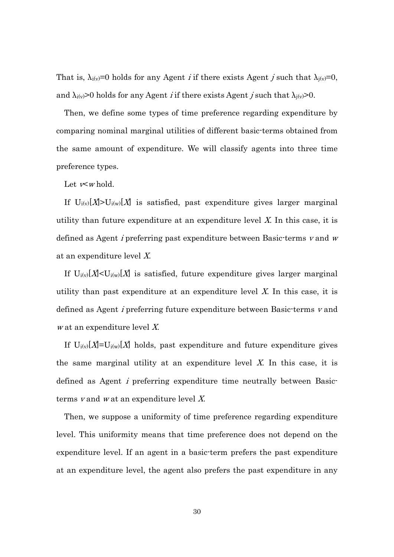That is,  $\lambda_i(y)=0$  holds for any Agent *i* if there exists Agent *j* such that  $\lambda_i(y)=0$ , and  $\lambda_{i(v)}>0$  holds for any Agent *i* if there exists Agent *j* such that  $\lambda_{i(v)}>0$ .

Then, we define some types of time preference regarding expenditure by comparing nominal marginal utilities of different basic-terms obtained from the same amount of expenditure. We will classify agents into three time preference types.

Let  $\ltimes w$  hold.

If  $U_i(y)[X] > U_i(y)[X]$  is satisfied, past expenditure gives larger marginal utility than future expenditure at an expenditure level  $X$ . In this case, it is defined as Agent *i* preferring past expenditure between Basic-terms  $v$  and  $w$ at an expenditure level X.

If  $U_{i(v)}[X] \leq U_{i(w)}[X]$  is satisfied, future expenditure gives larger marginal utility than past expenditure at an expenditure level  $X$ . In this case, it is defined as Agent i preferring future expenditure between Basic-terms <sup>v</sup> and <sup>w</sup> at an expenditure level X.

If  $U_i(y)[X]=U_i(y)[X]$  holds, past expenditure and future expenditure gives the same marginal utility at an expenditure level  $X$ . In this case, it is defined as Agent i preferring expenditure time neutrally between Basicterms <sup>v</sup> and <sup>w</sup> at an expenditure level X.

Then, we suppose a uniformity of time preference regarding expenditure level. This uniformity means that time preference does not depend on the expenditure level. If an agent in a basic-term prefers the past expenditure at an expenditure level, the agent also prefers the past expenditure in any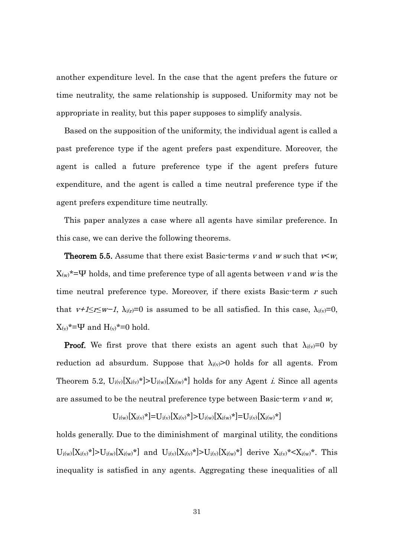another expenditure level. In the case that the agent prefers the future or time neutrality, the same relationship is supposed. Uniformity may not be appropriate in reality, but this paper supposes to simplify analysis.

Based on the supposition of the uniformity, the individual agent is called a past preference type if the agent prefers past expenditure. Moreover, the agent is called a future preference type if the agent prefers future expenditure, and the agent is called a time neutral preference type if the agent prefers expenditure time neutrally.

This paper analyzes a case where all agents have similar preference. In this case, we can derive the following theorems.

**Theorem 5.5.** Assume that there exist Basic-terms v and w such that  $v \lt w$ ,  $X_{(w)}^* = \Psi$  holds, and time preference type of all agents between v and w is the time neutral preference type. Moreover, if there exists Basic-term r such that  $v+1\leq r\leq w-1$ ,  $\lambda_{i}(r)=0$  is assumed to be all satisfied. In this case,  $\lambda_{i}(v)=0$ ,  $X_{(v)}^{\star}=\Psi$  and  $H_{(v)}^{\star}=0$  hold.

**Proof.** We first prove that there exists an agent such that  $\lambda_{i(v)}=0$  by reduction ad absurdum. Suppose that  $\lambda_{i(v)}$ >0 holds for all agents. From Theorem 5.2,  $U_{i(v)}[X_{i(v)}] > U_{i(w)}[X_{i(w)}]$  holds for any Agent *i*. Since all agents are assumed to be the neutral preference type between Basic-term  $v$  and  $w$ ,

$$
U_{i(w)}[X_{i(v)}*] = U_{i(v)}[X_{i(v)}*] > U_{i(w)}[X_{i(w)}*] = U_{i(v)}[X_{i(w)}*]
$$

holds generally. Due to the diminishment of marginal utility, the conditions  $U_{i(w)}[X_{i(v)}*] > U_{i(w)}[X_{i(w)}*]$  and  $U_{i(v)}[X_{i(v)}*] > U_{i(v)}[X_{i(w)}*]$  derive  $X_{i(v)}* < X_{i(w)}*$ . This inequality is satisfied in any agents. Aggregating these inequalities of all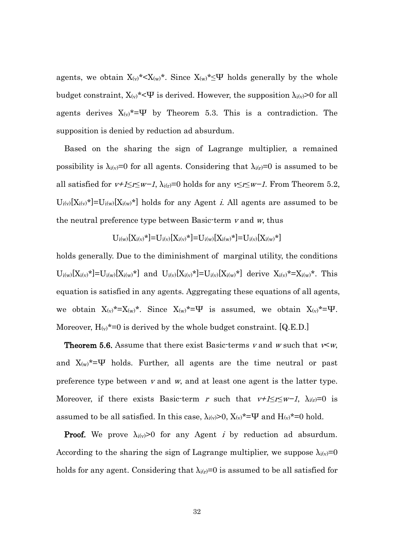agents, we obtain  $X_{(v)}^* < X_{(w)}^*$ . Since  $X_{(w)}^* \leq \Psi$  holds generally by the whole budget constraint,  $X_{(v)}^*<\Psi$  is derived. However, the supposition  $\lambda_{i(v)}>0$  for all agents derives  $X_{(v)}^* = \Psi$  by Theorem 5.3. This is a contradiction. The supposition is denied by reduction ad absurdum.

Based on the sharing the sign of Lagrange multiplier, a remained possibility is  $\lambda_{i(v)}=0$  for all agents. Considering that  $\lambda_{i(v)}=0$  is assumed to be all satisfied for  $v+1\leq r\leq w-1$ ,  $\lambda_{i}(r)=0$  holds for any  $v\leq r\leq w-1$ . From Theorem 5.2,  $U_{i(v)}[X_{i(v)}]$  =  $U_{i(w)}[X_{i(w)}]$  holds for any Agent *i*. All agents are assumed to be the neutral preference type between Basic-term  $v$  and  $w$ , thus

$$
U_{i(w)}[X_{i(v)}{}^{\star}] {=} U_{i(v)}[X_{i(v)}{}^{\star}] {=} U_{i(w)}[X_{i(w)}{}^{\star}] {=} U_{i(v)}[X_{i(w)}{}^{\star}]
$$

holds generally. Due to the diminishment of marginal utility, the conditions  $U_{i(w)}[X_{i(v)}*] = U_{i(w)}[X_{i(w)}*]$  and  $U_{i(v)}[X_{i(v)}*] = U_{i(v)}[X_{i(w)}*]$  derive  $X_{i(v)}* = X_{i(w)}*$ . This equation is satisfied in any agents. Aggregating these equations of all agents, we obtain  $X_{(v)}^* = X_{(w)}^*$ . Since  $X_{(w)}^* = \Psi$  is assumed, we obtain  $X_{(v)}^* = \Psi$ . Moreover,  $H_{(v)}^* = 0$  is derived by the whole budget constraint. [Q.E.D.]

**Theorem 5.6.** Assume that there exist Basic-terms v and w such that  $\nu \lt w$ . and  $X_{(w)}^* = \Psi$  holds. Further, all agents are the time neutral or past preference type between  $v$  and  $w$ , and at least one agent is the latter type. Moreover, if there exists Basic-term r such that  $v+1\leq r\leq w-1$ ,  $\lambda_{i(r)}=0$  is assumed to be all satisfied. In this case,  $\lambda_i(y) > 0$ ,  $X(y) = \Psi$  and  $H(y) = 0$  hold.

**Proof.** We prove  $\lambda_i(y) > 0$  for any Agent *i* by reduction ad absurdum. According to the sharing the sign of Lagrange multiplier, we suppose  $\lambda_{i(v)}=0$ holds for any agent. Considering that  $\lambda_{i(r)}=0$  is assumed to be all satisfied for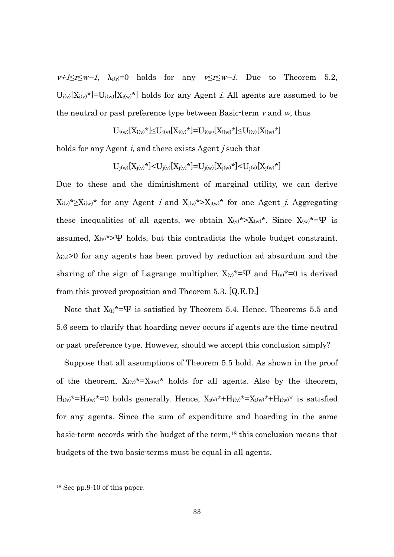$v+1\leq r\leq w-1$ ,  $\lambda_{i(r)}=0$  holds for any  $v\leq r\leq w-1$ . Due to Theorem 5.2,  $U_{i(v)}[X_{i(v)}]$  =  $U_{i(w)}[X_{i(w)}]$  holds for any Agent *i*. All agents are assumed to be the neutral or past preference type between Basic-term  $\nu$  and  $\nu$ , thus

$$
U_{i(w)}[X_{i(v)}{}^{\star}] {\leq} U_{i(v)}[X_{i(v)}{}^{\star}] {=} U_{i(w)}[X_{i(w)}{}^{\star}] {\leq} U_{i(v)}[X_{i(w)}{}^{\star}]
$$

holds for any Agent *i*, and there exists Agent *j* such that

$$
U_{j(w)}[X_{j(v)}\star] {<} U_{j(v)}[X_{j(v)}\star] {=} U_{j(w)}[X_{j(w)}\star] {<} U_{j(v)}[X_{j(w)}\star]
$$

Due to these and the diminishment of marginal utility, we can derive  $X_{i(v)}^* \geq X_{i(w)}^*$  for any Agent *i* and  $X_{j(v)}^* > X_{j(w)}^*$  for one Agent *j*. Aggregating these inequalities of all agents, we obtain  $X_{(v)}^* > X_{(w)}^*$ . Since  $X_{(w)}^* = \Psi$  is assumed,  $X_{(v)}^*$ >Ψ holds, but this contradicts the whole budget constraint.  $\lambda_{i(v)}$ >0 for any agents has been proved by reduction ad absurdum and the sharing of the sign of Lagrange multiplier.  $X_{(v)}^* = \Psi$  and  $H_{(v)}^* = 0$  is derived from this proved proposition and Theorem 5.3. [Q.E.D.]

Note that  $X_{(t)}^* = \Psi$  is satisfied by Theorem 5.4. Hence, Theorems 5.5 and 5.6 seem to clarify that hoarding never occurs if agents are the time neutral or past preference type. However, should we accept this conclusion simply?

Suppose that all assumptions of Theorem 5.5 hold. As shown in the proof of the theorem,  $X_{i(v)}^* = X_{i(w)}^*$  holds for all agents. Also by the theorem,  $H_{i(v)}^* = H_{i(w)}^* = 0$  holds generally. Hence,  $X_{i(v)}^* + H_{i(v)}^* = X_{i(w)}^* + H_{i(w)}^*$  is satisfied for any agents. Since the sum of expenditure and hoarding in the same basic-term accords with the budget of the term,[18](#page-34-0) this conclusion means that budgets of the two basic-terms must be equal in all agents.

-

<span id="page-34-0"></span><sup>18</sup> See pp.9-10 of this paper.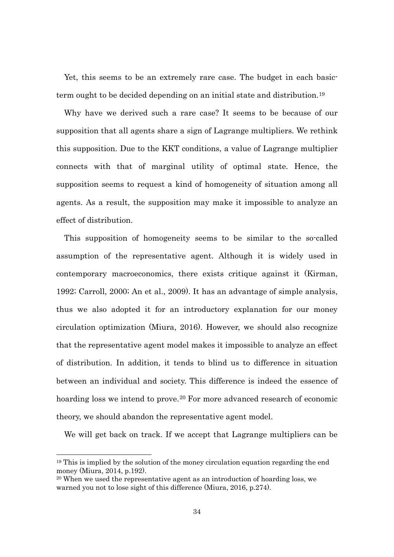Yet, this seems to be an extremely rare case. The budget in each basicterm ought to be decided depending on an initial state and distribution. [19](#page-35-0)

Why have we derived such a rare case? It seems to be because of our supposition that all agents share a sign of Lagrange multipliers. We rethink this supposition. Due to the KKT conditions, a value of Lagrange multiplier connects with that of marginal utility of optimal state. Hence, the supposition seems to request a kind of homogeneity of situation among all agents. As a result, the supposition may make it impossible to analyze an effect of distribution.

This supposition of homogeneity seems to be similar to the so-called assumption of the representative agent. Although it is widely used in contemporary macroeconomics, there exists critique against it (Kirman, 1992; Carroll, 2000; An et al., 2009). It has an advantage of simple analysis, thus we also adopted it for an introductory explanation for our money circulation optimization (Miura, 2016). However, we should also recognize that the representative agent model makes it impossible to analyze an effect of distribution. In addition, it tends to blind us to difference in situation between an individual and society. This difference is indeed the essence of hoarding loss we intend to prove.<sup>[20](#page-35-1)</sup> For more advanced research of economic theory, we should abandon the representative agent model.

We will get back on track. If we accept that Lagrange multipliers can be

-

<span id="page-35-0"></span><sup>19</sup> This is implied by the solution of the money circulation equation regarding the end money (Miura, 2014, p.192).

<span id="page-35-1"></span><sup>20</sup> When we used the representative agent as an introduction of hoarding loss, we warned you not to lose sight of this difference (Miura, 2016, p.274).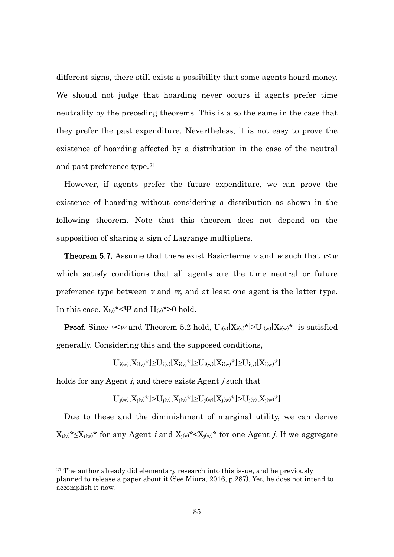different signs, there still exists a possibility that some agents hoard money. We should not judge that hoarding never occurs if agents prefer time neutrality by the preceding theorems. This is also the same in the case that they prefer the past expenditure. Nevertheless, it is not easy to prove the existence of hoarding affected by a distribution in the case of the neutral and past preference type.[21](#page-36-0)

However, if agents prefer the future expenditure, we can prove the existence of hoarding without considering a distribution as shown in the following theorem. Note that this theorem does not depend on the supposition of sharing a sign of Lagrange multipliers.

**Theorem 5.7.** Assume that there exist Basic-terms v and w such that  $\nu \lt w$ which satisfy conditions that all agents are the time neutral or future preference type between  $v$  and  $w$ , and at least one agent is the latter type. In this case,  $X_{(v)}^*$  <  $\Psi$  and  $H_{(v)}^*$  > 0 hold.

**Proof.** Since  $\lt \lt w$  and Theorem 5.2 hold,  $U_{i(v)}[X_{i(v)}*] \geq U_{i(w)}[X_{i(w)}*]$  is satisfied generally. Considering this and the supposed conditions,

$$
U_{i(w)}[X_{i(v)}{}^{\star}] {\geq} U_{i(v)}[X_{i(v)}{}^{\star}] {\geq} U_{i(w)}[X_{i(w)}{}^{\star}] {\geq} U_{i(v)}[X_{i(w)}{}^{\star}]
$$

holds for any Agent *i*, and there exists Agent *j* such that

1

$$
U_{j(w)}[X_{j(v)}*] {>} U_{j(v)}[X_{j(v)}*] {\geq} U_{j(w)}[X_{j(w)}*] {>} U_{j(v)}[X_{j(w)}*]
$$

Due to these and the diminishment of marginal utility, we can derive  $X_{i(v)}^* \leq X_{i(w)}^*$  for any Agent *i* and  $X_{j(v)}^* \leq X_{j(w)}^*$  for one Agent *j*. If we aggregate

<span id="page-36-0"></span><sup>&</sup>lt;sup>21</sup> The author already did elementary research into this issue, and he previously planned to release a paper about it (See Miura, 2016, p.287). Yet, he does not intend to accomplish it now.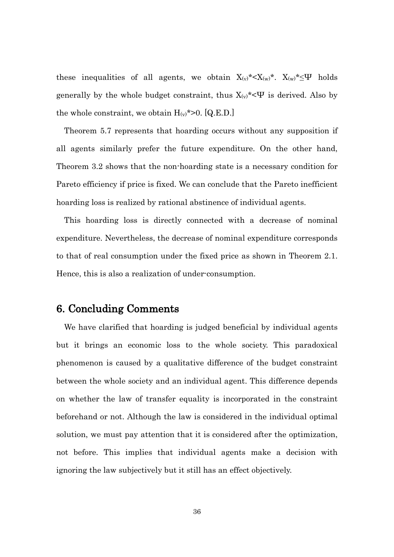these inequalities of all agents, we obtain  $X_{(v)}^* < X_{(w)}^*$ .  $X_{(w)}^* \leq \Psi$  holds generally by the whole budget constraint, thus  $X_{(v)}^*$  <  $\Psi$  is derived. Also by the whole constraint, we obtain  $H_{(v)}$ \*>0. [Q.E.D.]

Theorem 5.7 represents that hoarding occurs without any supposition if all agents similarly prefer the future expenditure. On the other hand, Theorem 3.2 shows that the non-hoarding state is a necessary condition for Pareto efficiency if price is fixed. We can conclude that the Pareto inefficient hoarding loss is realized by rational abstinence of individual agents.

This hoarding loss is directly connected with a decrease of nominal expenditure. Nevertheless, the decrease of nominal expenditure corresponds to that of real consumption under the fixed price as shown in Theorem 2.1. Hence, this is also a realization of under-consumption.

#### 6. Concluding Comments

We have clarified that hoarding is judged beneficial by individual agents but it brings an economic loss to the whole society. This paradoxical phenomenon is caused by a qualitative difference of the budget constraint between the whole society and an individual agent. This difference depends on whether the law of transfer equality is incorporated in the constraint beforehand or not. Although the law is considered in the individual optimal solution, we must pay attention that it is considered after the optimization, not before. This implies that individual agents make a decision with ignoring the law subjectively but it still has an effect objectively.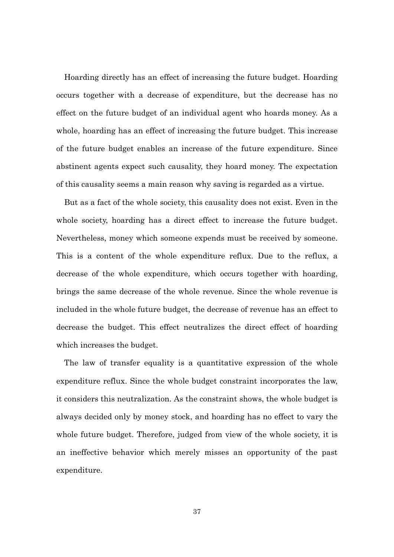Hoarding directly has an effect of increasing the future budget. Hoarding occurs together with a decrease of expenditure, but the decrease has no effect on the future budget of an individual agent who hoards money. As a whole, hoarding has an effect of increasing the future budget. This increase of the future budget enables an increase of the future expenditure. Since abstinent agents expect such causality, they hoard money. The expectation of this causality seems a main reason why saving is regarded as a virtue.

But as a fact of the whole society, this causality does not exist. Even in the whole society, hoarding has a direct effect to increase the future budget. Nevertheless, money which someone expends must be received by someone. This is a content of the whole expenditure reflux. Due to the reflux, a decrease of the whole expenditure, which occurs together with hoarding, brings the same decrease of the whole revenue. Since the whole revenue is included in the whole future budget, the decrease of revenue has an effect to decrease the budget. This effect neutralizes the direct effect of hoarding which increases the budget.

The law of transfer equality is a quantitative expression of the whole expenditure reflux. Since the whole budget constraint incorporates the law, it considers this neutralization. As the constraint shows, the whole budget is always decided only by money stock, and hoarding has no effect to vary the whole future budget. Therefore, judged from view of the whole society, it is an ineffective behavior which merely misses an opportunity of the past expenditure.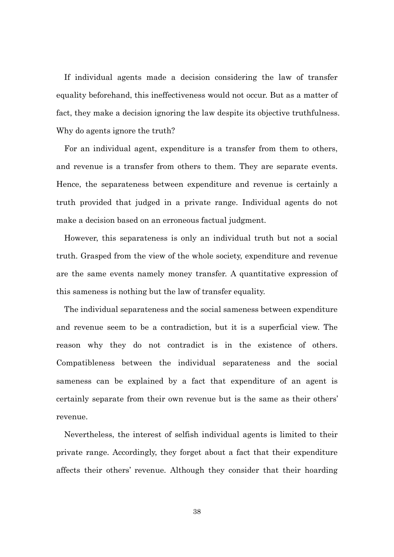If individual agents made a decision considering the law of transfer equality beforehand, this ineffectiveness would not occur. But as a matter of fact, they make a decision ignoring the law despite its objective truthfulness. Why do agents ignore the truth?

For an individual agent, expenditure is a transfer from them to others, and revenue is a transfer from others to them. They are separate events. Hence, the separateness between expenditure and revenue is certainly a truth provided that judged in a private range. Individual agents do not make a decision based on an erroneous factual judgment.

However, this separateness is only an individual truth but not a social truth. Grasped from the view of the whole society, expenditure and revenue are the same events namely money transfer. A quantitative expression of this sameness is nothing but the law of transfer equality.

The individual separateness and the social sameness between expenditure and revenue seem to be a contradiction, but it is a superficial view. The reason why they do not contradict is in the existence of others. Compatibleness between the individual separateness and the social sameness can be explained by a fact that expenditure of an agent is certainly separate from their own revenue but is the same as their others' revenue.

Nevertheless, the interest of selfish individual agents is limited to their private range. Accordingly, they forget about a fact that their expenditure affects their others' revenue. Although they consider that their hoarding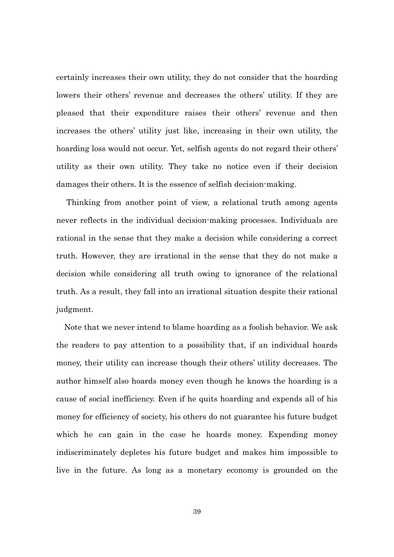certainly increases their own utility, they do not consider that the hoarding lowers their others' revenue and decreases the others' utility. If they are pleased that their expenditure raises their others' revenue and then increases the others' utility just like, increasing in their own utility, the hoarding loss would not occur. Yet, selfish agents do not regard their others' utility as their own utility. They take no notice even if their decision damages their others. It is the essence of selfish decision-making.

Thinking from another point of view, a relational truth among agents never reflects in the individual decision-making processes. Individuals are rational in the sense that they make a decision while considering a correct truth. However, they are irrational in the sense that they do not make a decision while considering all truth owing to ignorance of the relational truth. As a result, they fall into an irrational situation despite their rational judgment.

Note that we never intend to blame hoarding as a foolish behavior. We ask the readers to pay attention to a possibility that, if an individual hoards money, their utility can increase though their others' utility decreases. The author himself also hoards money even though he knows the hoarding is a cause of social inefficiency. Even if he quits hoarding and expends all of his money for efficiency of society, his others do not guarantee his future budget which he can gain in the case he hoards money. Expending money indiscriminately depletes his future budget and makes him impossible to live in the future. As long as a monetary economy is grounded on the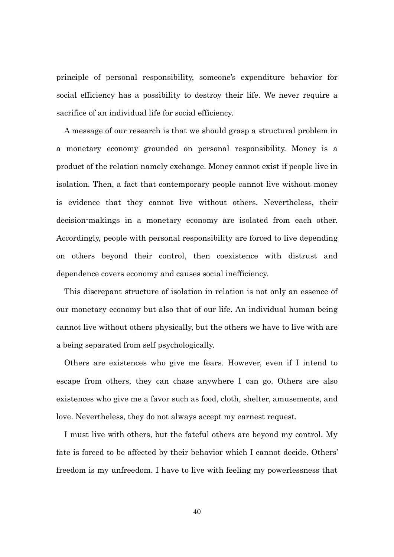principle of personal responsibility, someone's expenditure behavior for social efficiency has a possibility to destroy their life. We never require a sacrifice of an individual life for social efficiency.

A message of our research is that we should grasp a structural problem in a monetary economy grounded on personal responsibility. Money is a product of the relation namely exchange. Money cannot exist if people live in isolation. Then, a fact that contemporary people cannot live without money is evidence that they cannot live without others. Nevertheless, their decision-makings in a monetary economy are isolated from each other. Accordingly, people with personal responsibility are forced to live depending on others beyond their control, then coexistence with distrust and dependence covers economy and causes social inefficiency.

This discrepant structure of isolation in relation is not only an essence of our monetary economy but also that of our life. An individual human being cannot live without others physically, but the others we have to live with are a being separated from self psychologically.

Others are existences who give me fears. However, even if I intend to escape from others, they can chase anywhere I can go. Others are also existences who give me a favor such as food, cloth, shelter, amusements, and love. Nevertheless, they do not always accept my earnest request.

I must live with others, but the fateful others are beyond my control. My fate is forced to be affected by their behavior which I cannot decide. Others' freedom is my unfreedom. I have to live with feeling my powerlessness that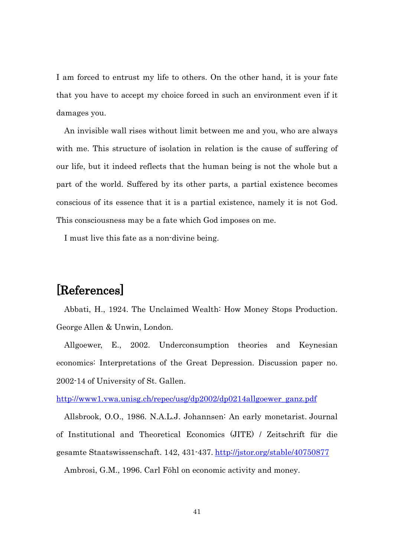I am forced to entrust my life to others. On the other hand, it is your fate that you have to accept my choice forced in such an environment even if it damages you.

An invisible wall rises without limit between me and you, who are always with me. This structure of isolation in relation is the cause of suffering of our life, but it indeed reflects that the human being is not the whole but a part of the world. Suffered by its other parts, a partial existence becomes conscious of its essence that it is a partial existence, namely it is not God. This consciousness may be a fate which God imposes on me.

I must live this fate as a non-divine being.

### [References]

Abbati, H., 1924. The Unclaimed Wealth: How Money Stops Production. George Allen & Unwin, London.

Allgoewer, E., 2002. Underconsumption theories and Keynesian economics: Interpretations of the Great Depression. Discussion paper no. 2002-14 of University of St. Gallen.

http://www1.vwa.unisg.ch/repec/usg/dp2002/dp0214allgoewer\_ganz.pdf

Allsbrook, O.O., 1986. N.A.L.J. Johannsen: An early monetarist. Journal of Institutional and Theoretical Economics (JITE) / Zeitschrift für die gesamte Staatswissenschaft. 142, 431-437. http://jstor.org/stable/40750877

Ambrosi, G.M., 1996. Carl Föhl on economic activity and money.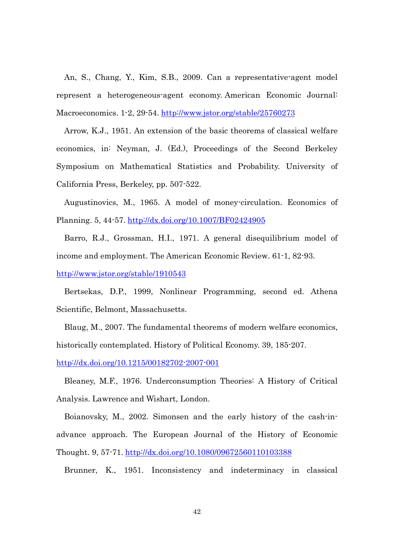An, S., Chang, Y., Kim, S.B., 2009. Can a representative-agent model represent a heterogeneous-agent economy. American Economic Journal: Macroeconomics. 1-2, 29-54. http://www.jstor.org/stable/25760273

Arrow, K.J., 1951. An extension of the basic theorems of classical welfare economics, in: Neyman, J. (Ed.), Proceedings of the Second Berkeley Symposium on Mathematical Statistics and Probability. University of California Press, Berkeley, pp. 507-522.

Augustinovics, M., 1965. A model of money-circulation. Economics of Planning. 5, 44-57. http://dx.doi.org/10.1007/BF02424905

Barro, R.J., Grossman, H.I., 1971. A general disequilibrium model of income and employment. The American Economic Review. 61-1, 82-93.

http://www.jstor.org/stable/1910543

Bertsekas, D.P., 1999, Nonlinear Programming, second ed. Athena Scientific, Belmont, Massachusetts.

Blaug, M., 2007. The fundamental theorems of modern welfare economics, historically contemplated. History of Political Economy. 39, 185-207.

http://dx.doi.org/10.1215/00182702-2007-001

Bleaney, M.F., 1976. Underconsumption Theories: A History of Critical Analysis. Lawrence and Wishart, London.

Boianovsky, M., 2002. Simonsen and the early history of the cash-inadvance approach. The European Journal of the History of Economic Thought. 9, 57-71. http://dx.doi.org/10.1080/09672560110103388

Brunner, K., 1951. Inconsistency and indeterminacy in classical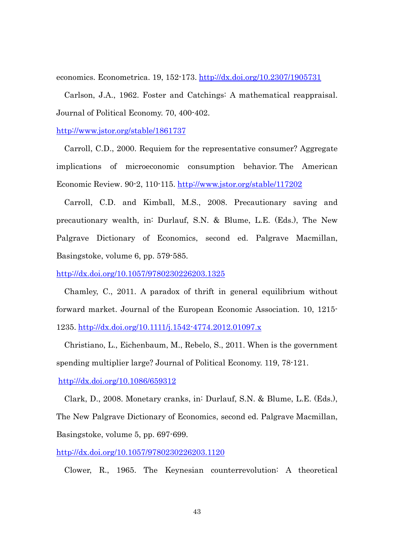economics. Econometrica. 19, 152-173. http://dx.doi.org/10.2307/1905731

Carlson, J.A., 1962. Foster and Catchings: A mathematical reappraisal. Journal of Political Economy. 70, 400-402.

http://www.jstor.org/stable/1861737

Carroll, C.D., 2000. Requiem for the representative consumer? Aggregate implications of microeconomic consumption behavior. The American Economic Review. 90-2, 110-115. http://www.jstor.org/stable/117202

Carroll, C.D. and Kimball, M.S., 2008. Precautionary saving and precautionary wealth, in: Durlauf, S.N. & Blume, L.E. (Eds.), The New Palgrave Dictionary of Economics, second ed. Palgrave Macmillan, Basingstoke, volume 6, pp. 579-585.

http://dx.doi.org/10.1057/9780230226203.1325

Chamley, C., 2011. A paradox of thrift in general equilibrium without forward market. Journal of the European Economic Association. 10, 1215- 1235. http://dx.doi.org/10.1111/j.1542-4774.2012.01097.x

Christiano, L., Eichenbaum, M., Rebelo, S., 2011. When is the government spending multiplier large? Journal of Political Economy. 119, 78-121.

http://dx.doi.org/10.1086/659312

Clark, D., 2008. Monetary cranks, in: Durlauf, S.N. & Blume, L.E. (Eds.), The New Palgrave Dictionary of Economics, second ed. Palgrave Macmillan, Basingstoke, volume 5, pp. 697-699.

http://dx.doi.org/10.1057/9780230226203.1120

Clower, R., 1965. The Keynesian counterrevolution: A theoretical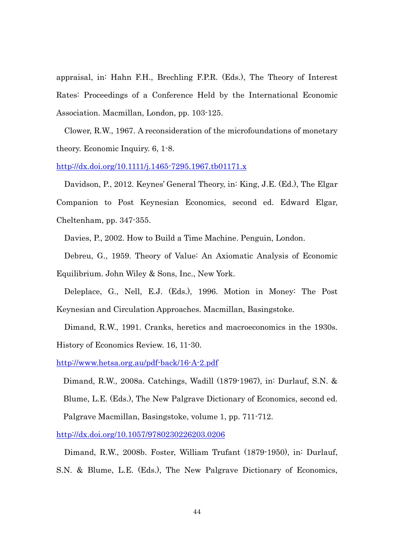appraisal, in: Hahn F.H., Brechling F.P.R. (Eds.), The Theory of Interest Rates: Proceedings of a Conference Held by the International Economic Association. Macmillan, London, pp. 103-125.

Clower, R.W., 1967. A reconsideration of the microfoundations of monetary theory. Economic Inquiry. 6, 1-8.

http://dx.doi.org/10.1111/j.1465-7295.1967.tb01171.x

Davidson, P., 2012. Keynes' General Theory, in: King, J.E. (Ed.), The Elgar Companion to Post Keynesian Economics, second ed. Edward Elgar, Cheltenham, pp. 347-355.

Davies, P., 2002. How to Build a Time Machine. Penguin, London.

Debreu, G., 1959. Theory of Value: An Axiomatic Analysis of Economic Equilibrium. John Wiley & Sons, Inc., New York.

Deleplace, G., Nell, E.J. (Eds.), 1996. Motion in Money: The Post Keynesian and Circulation Approaches. Macmillan, Basingstoke.

Dimand, R.W., 1991. Cranks, heretics and macroeconomics in the 1930s. History of Economics Review. 16, 11-30.

http://www.hetsa.org.au/pdf-back/16-A-2.pdf

Dimand, R.W., 2008a. Catchings, Wadill (1879-1967), in: Durlauf, S.N. & Blume, L.E. (Eds.), The New Palgrave Dictionary of Economics, second ed. Palgrave Macmillan, Basingstoke, volume 1, pp. 711-712.

http://dx.doi.org/10.1057/9780230226203.0206

Dimand, R.W., 2008b. Foster, William Trufant (1879-1950), in: Durlauf, S.N. & Blume, L.E. (Eds.), The New Palgrave Dictionary of Economics,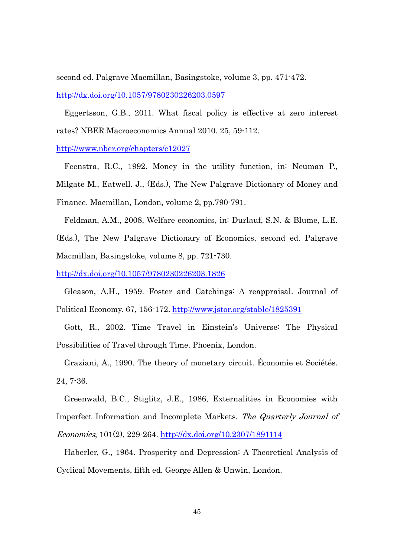second ed. Palgrave Macmillan, Basingstoke, volume 3, pp. 471-472. http://dx.doi.org/10.1057/9780230226203.0597

Eggertsson, G.B., 2011. What fiscal policy is effective at zero interest rates? NBER Macroeconomics Annual 2010. 25, 59-112.

http://www.nber.org/chapters/c12027

Feenstra, R.C., 1992. Money in the utility function, in: Neuman P., Milgate M., Eatwell. J., (Eds.), The New Palgrave Dictionary of Money and Finance. Macmillan, London, volume 2, pp.790-791.

Feldman, A.M., 2008, Welfare economics, in: Durlauf, S.N. & Blume, L.E. (Eds.), The New Palgrave Dictionary of Economics, second ed. Palgrave Macmillan, Basingstoke, volume 8, pp. 721-730.

http://dx.doi.org/10.1057/9780230226203.1826

Gleason, A.H., 1959. Foster and Catchings: A reappraisal. Journal of Political Economy. 67, 156-172. http://www.jstor.org/stable/1825391

Gott, R., 2002. Time Travel in Einstein's Universe: The Physical Possibilities of Travel through Time. Phoenix, London.

Graziani, A., 1990. The theory of monetary circuit. Économie et Sociétés. 24, 7-36.

Greenwald, B.C., Stiglitz, J.E., 1986, Externalities in Economies with Imperfect Information and Incomplete Markets. The Quarterly Journal of Economics, 101(2), 229-264. http://dx.doi.org/10.2307/1891114

Haberler, G., 1964. Prosperity and Depression: A Theoretical Analysis of Cyclical Movements, fifth ed. George Allen & Unwin, London.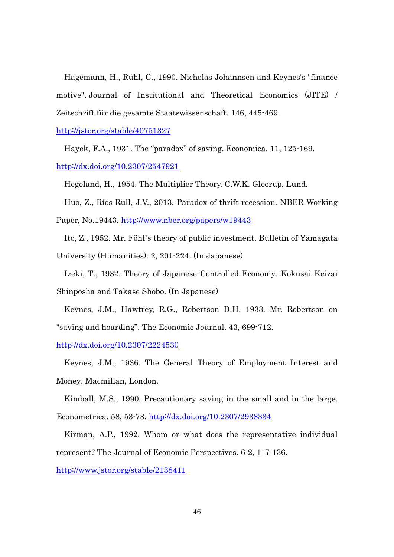Hagemann, H., Rühl, C., 1990. Nicholas Johannsen and Keynes's "finance motive". Journal of Institutional and Theoretical Economics (JITE) / Zeitschrift für die gesamte Staatswissenschaft. 146, 445-469.

http://jstor.org/stable/40751327

Hayek, F.A., 1931. The "paradox" of saving. Economica. 11, 125-169. http://dx.doi.org/10.2307/2547921

Hegeland, H., 1954. The Multiplier Theory. C.W.K. Gleerup, Lund.

Huo, Z., Ríos-Rull, J.V., 2013. Paradox of thrift recession. NBER Working

Paper, No.19443. http://www.nber.org/papers/w19443

Ito, Z., 1952. Mr. Föhl's theory of public investment. Bulletin of Yamagata University (Humanities). 2, 201-224. (In Japanese)

Izeki, T., 1932. Theory of Japanese Controlled Economy. Kokusai Keizai Shinposha and Takase Shobo. (In Japanese)

Keynes, J.M., Hawtrey, R.G., Robertson D.H. 1933. Mr. Robertson on "saving and hoarding". The Economic Journal. 43, 699-712.

http://dx.doi.org/10.2307/2224530

Keynes, J.M., 1936. The General Theory of Employment Interest and Money. Macmillan, London.

Kimball, M.S., 1990. Precautionary saving in the small and in the large.

Econometrica. 58, 53-73. http://dx.doi.org/10.2307/2938334

Kirman, A.P., 1992. Whom or what does the representative individual represent? The Journal of Economic Perspectives. 6-2, 117-136.

http://www.jstor.org/stable/2138411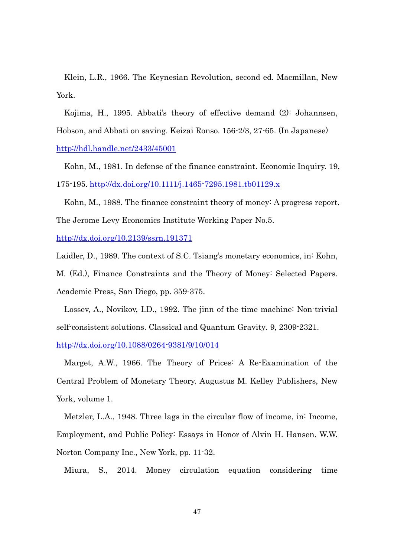Klein, L.R., 1966. The Keynesian Revolution, second ed. Macmillan, New York.

Kojima, H., 1995. Abbati's theory of effective demand (2): Johannsen, Hobson, and Abbati on saving. Keizai Ronso. 156-2/3, 27-65. (In Japanese) http://hdl.handle.net/2433/45001

Kohn, M., 1981. In defense of the finance constraint. Economic Inquiry. 19, 175-195. http://dx.doi.org/10.1111/j.1465-7295.1981.tb01129.x

Kohn, M., 1988. The finance constraint theory of money: A progress report. The Jerome Levy Economics Institute Working Paper No.5.

http://dx.doi.org/10.2139/ssrn.191371

Laidler, D., 1989. The context of S.C. Tsiang's monetary economics, in: Kohn,

M. (Ed.), Finance Constraints and the Theory of Money: Selected Papers. Academic Press, San Diego, pp. 359-375.

Lossev, A., Novikov, I.D., 1992. The jinn of the time machine: Non-trivial self-consistent solutions. Classical and Quantum Gravity. 9, 2309-2321.

http://dx.doi.org/10.1088/0264-9381/9/10/014

Marget, A.W., 1966. The Theory of Prices: A Re-Examination of the Central Problem of Monetary Theory. Augustus M. Kelley Publishers, New York, volume 1.

Metzler, L.A., 1948. Three lags in the circular flow of income, in: Income, Employment, and Public Policy: Essays in Honor of Alvin H. Hansen. W.W. Norton Company Inc., New York, pp. 11-32.

Miura, S., 2014. Money circulation equation considering time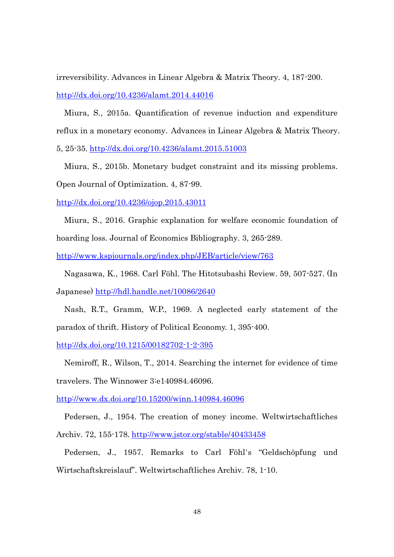irreversibility. Advances in Linear Algebra & Matrix Theory. 4, 187-200. http://dx.doi.org/10.4236/alamt.2014.44016

Miura, S., 2015a. Quantification of revenue induction and expenditure reflux in a monetary economy. Advances in Linear Algebra & Matrix Theory.

5, 25-35. http://dx.doi.org/10.4236/alamt.2015.51003

Miura, S., 2015b. Monetary budget constraint and its missing problems. Open Journal of Optimization. 4, 87-99.

http://dx.doi.org/10.4236/ojop.2015.43011

Miura, S., 2016. Graphic explanation for welfare economic foundation of hoarding loss. Journal of Economics Bibliography. 3, 265-289.

http://www.kspjournals.org/index.php/JEB/article/view/763

Nagasawa, K., 1968. Carl Föhl. The Hitotsubashi Review. 59, 507-527. (In Japanese) http://hdl.handle.net/10086/2640

Nash, R.T., Gramm, W.P., 1969. A neglected early statement of the paradox of thrift. History of Political Economy. 1, 395-400.

http://dx.doi.org/10.1215/00182702-1-2-395

Nemiroff, R., Wilson, T., 2014. Searching the internet for evidence of time travelers. The Winnower 3:e140984.46096.

http://www.dx.doi.org/10.15200/winn.140984.46096

Pedersen, J., 1954. The creation of money income. Weltwirtschaftliches Archiv. 72, 155-178. http://www.jstor.org/stable/40433458

Pedersen, J., 1957. Remarks to Carl Föhl's "Geldschöpfung und Wirtschaftskreislauf". Weltwirtschaftliches Archiv. 78, 1-10.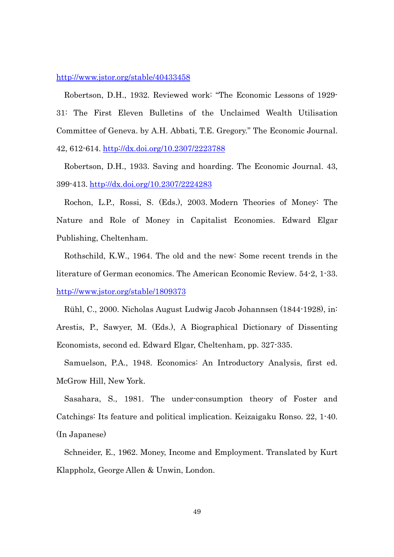#### http://www.jstor.org/stable/40433458

Robertson, D.H., 1932. Reviewed work: "The Economic Lessons of 1929- 31: The First Eleven Bulletins of the Unclaimed Wealth Utilisation Committee of Geneva. by A.H. Abbati, T.E. Gregory." The Economic Journal. 42, 612-614. http://dx.doi.org/10.2307/2223788

Robertson, D.H., 1933. Saving and hoarding. The Economic Journal. 43, 399-413. http://dx.doi.org/10.2307/2224283

Rochon, L.P., Rossi, S. (Eds.), 2003. Modern Theories of Money: The Nature and Role of Money in Capitalist Economies. Edward Elgar Publishing, Cheltenham.

Rothschild, K.W., 1964. The old and the new: Some recent trends in the literature of German economics. The American Economic Review. 54-2, 1-33. http://www.jstor.org/stable/1809373

Rühl, C., 2000. Nicholas August Ludwig Jacob Johannsen (1844-1928), in: Arestis, P., Sawyer, M. (Eds.), A Biographical Dictionary of Dissenting Economists, second ed. Edward Elgar, Cheltenham, pp. 327-335.

Samuelson, P.A., 1948. Economics: An Introductory Analysis, first ed. McGrow Hill, New York.

Sasahara, S., 1981. The under-consumption theory of Foster and Catchings: Its feature and political implication. Keizaigaku Ronso. 22, 1-40. (In Japanese)

Schneider, E., 1962. Money, Income and Employment. Translated by Kurt Klappholz, George Allen & Unwin, London.